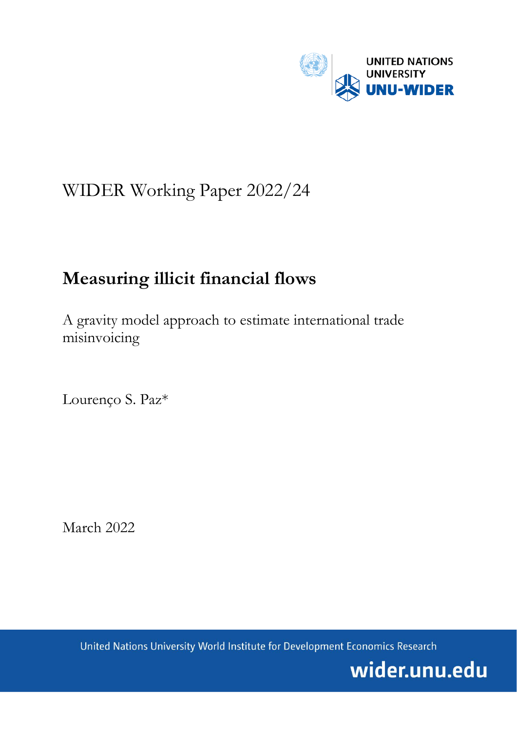

# WIDER Working Paper 2022/24

## **Measuring illicit financial flows**

A gravity model approach to estimate international trade misinvoicing

Lourenço S. Paz\*

March 2022

United Nations University World Institute for Development Economics Research

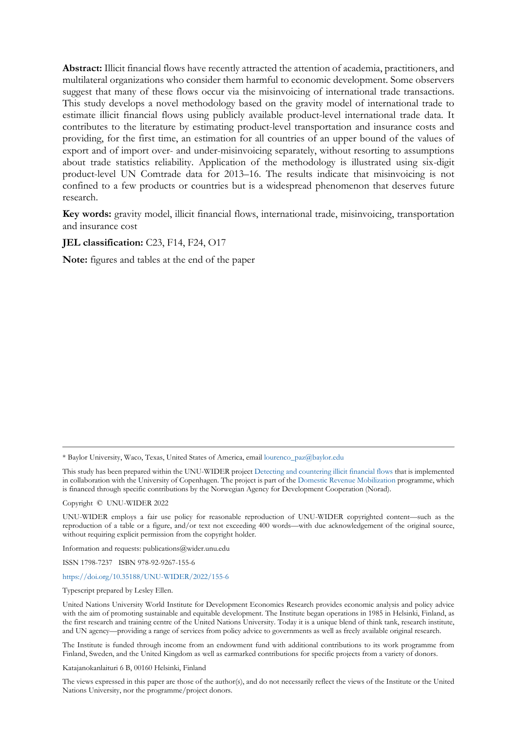**Abstract:** Illicit financial flows have recently attracted the attention of academia, practitioners, and multilateral organizations who consider them harmful to economic development. Some observers suggest that many of these flows occur via the misinvoicing of international trade transactions. This study develops a novel methodology based on the gravity model of international trade to estimate illicit financial flows using publicly available product-level international trade data. It contributes to the literature by estimating product-level transportation and insurance costs and providing, for the first time, an estimation for all countries of an upper bound of the values of export and of import over- and under-misinvoicing separately, without resorting to assumptions about trade statistics reliability. Application of the methodology is illustrated using six-digit product-level UN Comtrade data for 2013–16. The results indicate that misinvoicing is not confined to a few products or countries but is a widespread phenomenon that deserves future research.

**Key words:** gravity model, illicit financial flows, international trade, misinvoicing, transportation and insurance cost

#### **JEL classification:** C23, F14, F24, O17

**Note:** figures and tables at the end of the paper

Copyright © UNU-WIDER 2022

Information and requests: publications@wider.unu.edu

ISSN 1798-7237 ISBN 978-92-9267-155-6

#### <https://doi.org/10.35188/UNU-WIDER/2022/155-6>

Typescript prepared by Lesley Ellen.

Katajanokanlaituri 6 B, 00160 Helsinki, Finland

The views expressed in this paper are those of the author(s), and do not necessarily reflect the views of the Institute or the United Nations University, nor the programme/project donors.

<sup>\*</sup> Baylor University, Waco, Texas, United States of America, emai[l lourenco\\_paz@baylor.edu](mailto:lourenco_paz@baylor.edu)

This study has been prepared within the UNU-WIDER projec[t Detecting and countering illicit financial flows](https://www.wider.unu.edu/node/237297) that is implemented in collaboration with the University of Copenhagen. The project is part of the [Domestic Revenue Mobilization](https://www.wider.unu.edu/node/237587) programme, which is financed through specific contributions by the Norwegian Agency for Development Cooperation (Norad).

UNU-WIDER employs a fair use policy for reasonable reproduction of UNU-WIDER copyrighted content—such as the reproduction of a table or a figure, and/or text not exceeding 400 words—with due acknowledgement of the original source, without requiring explicit permission from the copyright holder.

United Nations University World Institute for Development Economics Research provides economic analysis and policy advice with the aim of promoting sustainable and equitable development. The Institute began operations in 1985 in Helsinki, Finland, as the first research and training centre of the United Nations University. Today it is a unique blend of think tank, research institute, and UN agency—providing a range of services from policy advice to governments as well as freely available original research.

The Institute is funded through income from an endowment fund with additional contributions to its work programme from Finland, Sweden, and the United Kingdom as well as earmarked contributions for specific projects from a variety of donors.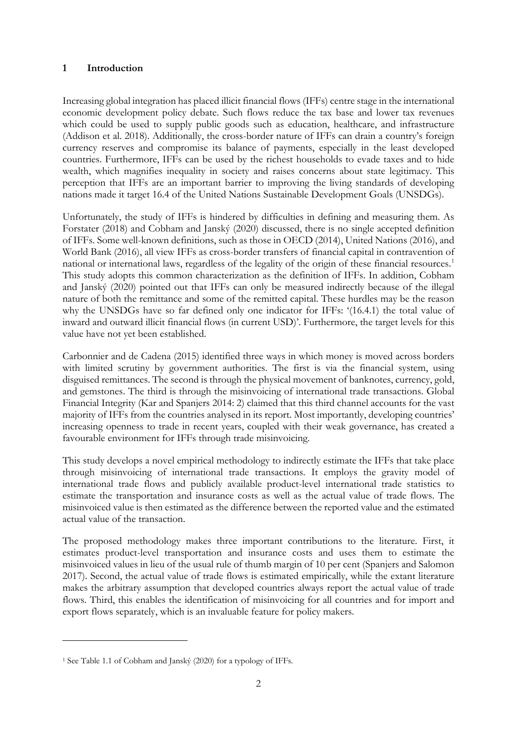### **1 Introduction**

Increasing global integration has placed illicit financial flows (IFFs) centre stage in the international economic development policy debate. Such flows reduce the tax base and lower tax revenues which could be used to supply public goods such as education, healthcare, and infrastructure (Addison et al. 2018). Additionally, the cross-border nature of IFFs can drain a country's foreign currency reserves and compromise its balance of payments, especially in the least developed countries. Furthermore, IFFs can be used by the richest households to evade taxes and to hide wealth, which magnifies inequality in society and raises concerns about state legitimacy. This perception that IFFs are an important barrier to improving the living standards of developing nations made it target 16.4 of the United Nations Sustainable Development Goals (UNSDGs).

Unfortunately, the study of IFFs is hindered by difficulties in defining and measuring them. As Forstater (2018) and Cobham and Janský (2020) discussed, there is no single accepted definition of IFFs. Some well-known definitions, such as those in OECD (2014), United Nations (2016), and World Bank (2016), all view IFFs as cross-border transfers of financial capital in contravention of national or international laws, regardless of the legality of the origin of these financial resources.<sup>[1](#page-2-0)</sup> This study adopts this common characterization as the definition of IFFs. In addition, Cobham and Janský (2020) pointed out that IFFs can only be measured indirectly because of the illegal nature of both the remittance and some of the remitted capital. These hurdles may be the reason why the UNSDGs have so far defined only one indicator for IFFs: '(16.4.1) the total value of inward and outward illicit financial flows (in current USD)'. Furthermore, the target levels for this value have not yet been established.

Carbonnier and de Cadena (2015) identified three ways in which money is moved across borders with limited scrutiny by government authorities. The first is via the financial system, using disguised remittances. The second is through the physical movement of banknotes, currency, gold, and gemstones. The third is through the misinvoicing of international trade transactions. Global Financial Integrity (Kar and Spanjers 2014: 2) claimed that this third channel accounts for the vast majority of IFFs from the countries analysed in its report. Most importantly, developing countries' increasing openness to trade in recent years, coupled with their weak governance, has created a favourable environment for IFFs through trade misinvoicing.

This study develops a novel empirical methodology to indirectly estimate the IFFs that take place through misinvoicing of international trade transactions. It employs the gravity model of international trade flows and publicly available product-level international trade statistics to estimate the transportation and insurance costs as well as the actual value of trade flows. The misinvoiced value is then estimated as the difference between the reported value and the estimated actual value of the transaction.

The proposed methodology makes three important contributions to the literature. First, it estimates product-level transportation and insurance costs and uses them to estimate the misinvoiced values in lieu of the usual rule of thumb margin of 10 per cent (Spanjers and Salomon 2017). Second, the actual value of trade flows is estimated empirically, while the extant literature makes the arbitrary assumption that developed countries always report the actual value of trade flows. Third, this enables the identification of misinvoicing for all countries and for import and export flows separately, which is an invaluable feature for policy makers.

<span id="page-2-0"></span><sup>1</sup> See Table 1.1 of Cobham and Janský (2020) for a typology of IFFs.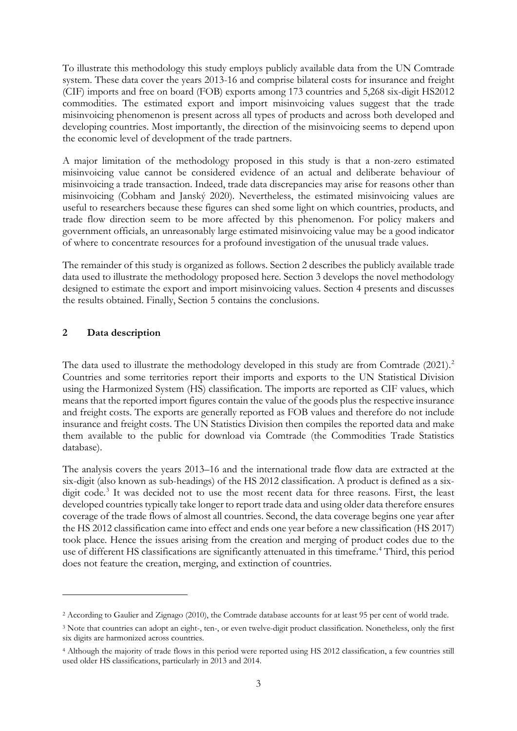To illustrate this methodology this study employs publicly available data from the UN Comtrade system. These data cover the years 2013-16 and comprise bilateral costs for insurance and freight (CIF) imports and free on board (FOB) exports among 173 countries and 5,268 six-digit HS2012 commodities. The estimated export and import misinvoicing values suggest that the trade misinvoicing phenomenon is present across all types of products and across both developed and developing countries. Most importantly, the direction of the misinvoicing seems to depend upon the economic level of development of the trade partners.

A major limitation of the methodology proposed in this study is that a non-zero estimated misinvoicing value cannot be considered evidence of an actual and deliberate behaviour of misinvoicing a trade transaction. Indeed, trade data discrepancies may arise for reasons other than misinvoicing (Cobham and Janský 2020). Nevertheless, the estimated misinvoicing values are useful to researchers because these figures can shed some light on which countries, products, and trade flow direction seem to be more affected by this phenomenon. For policy makers and government officials, an unreasonably large estimated misinvoicing value may be a good indicator of where to concentrate resources for a profound investigation of the unusual trade values.

The remainder of this study is organized as follows. Section 2 describes the publicly available trade data used to illustrate the methodology proposed here. Section 3 develops the novel methodology designed to estimate the export and import misinvoicing values. Section 4 presents and discusses the results obtained. Finally, Section 5 contains the conclusions.

## **2 Data description**

The data used to illustrate the methodology developed in this study are from Comtrade ([2](#page-3-0)021).<sup>2</sup> Countries and some territories report their imports and exports to the UN Statistical Division using the Harmonized System (HS) classification. The imports are reported as CIF values, which means that the reported import figures contain the value of the goods plus the respective insurance and freight costs. The exports are generally reported as FOB values and therefore do not include insurance and freight costs. The UN Statistics Division then compiles the reported data and make them available to the public for download via Comtrade (the Commodities Trade Statistics database).

The analysis covers the years 2013–16 and the international trade flow data are extracted at the six-digit (also known as sub-headings) of the HS 2012 classification. A product is defined as a six-digit code.<sup>[3](#page-3-1)</sup> It was decided not to use the most recent data for three reasons. First, the least developed countries typically take longer to report trade data and using older data therefore ensures coverage of the trade flows of almost all countries. Second, the data coverage begins one year after the HS 2012 classification came into effect and ends one year before a new classification (HS 2017) took place. Hence the issues arising from the creation and merging of product codes due to the use of different HS classifications are significantly attenuated in this timeframe.<sup>[4](#page-3-2)</sup> Third, this period does not feature the creation, merging, and extinction of countries.

<span id="page-3-0"></span><sup>2</sup> According to Gaulier and Zignago (2010), the Comtrade database accounts for at least 95 per cent of world trade.

<span id="page-3-1"></span><sup>3</sup> Note that countries can adopt an eight-, ten-, or even twelve-digit product classification. Nonetheless, only the first six digits are harmonized across countries.

<span id="page-3-2"></span><sup>4</sup> Although the majority of trade flows in this period were reported using HS 2012 classification, a few countries still used older HS classifications, particularly in 2013 and 2014.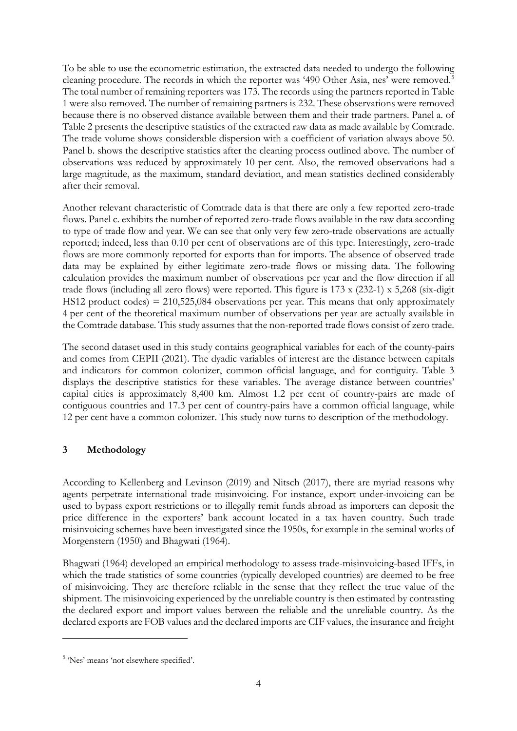To be able to use the econometric estimation, the extracted data needed to undergo the following cleaning procedure. The records in which the reporter was '490 Other Asia, nes' were removed.<sup>[5](#page-4-0)</sup> The total number of remaining reporters was 173. The records using the partners reported in Table 1 were also removed. The number of remaining partners is 232. These observations were removed because there is no observed distance available between them and their trade partners. Panel a. of Table 2 presents the descriptive statistics of the extracted raw data as made available by Comtrade. The trade volume shows considerable dispersion with a coefficient of variation always above 50. Panel b. shows the descriptive statistics after the cleaning process outlined above. The number of observations was reduced by approximately 10 per cent. Also, the removed observations had a large magnitude, as the maximum, standard deviation, and mean statistics declined considerably after their removal.

Another relevant characteristic of Comtrade data is that there are only a few reported zero-trade flows. Panel c. exhibits the number of reported zero-trade flows available in the raw data according to type of trade flow and year. We can see that only very few zero-trade observations are actually reported; indeed, less than 0.10 per cent of observations are of this type. Interestingly, zero-trade flows are more commonly reported for exports than for imports. The absence of observed trade data may be explained by either legitimate zero-trade flows or missing data. The following calculation provides the maximum number of observations per year and the flow direction if all trade flows (including all zero flows) were reported. This figure is 173 x (232-1) x 5,268 (six-digit HS12 product codes) =  $210,525,084$  observations per year. This means that only approximately 4 per cent of the theoretical maximum number of observations per year are actually available in the Comtrade database. This study assumes that the non-reported trade flows consist of zero trade.

The second dataset used in this study contains geographical variables for each of the county-pairs and comes from CEPII (2021). The dyadic variables of interest are the distance between capitals and indicators for common colonizer, common official language, and for contiguity. Table 3 displays the descriptive statistics for these variables. The average distance between countries' capital cities is approximately 8,400 km. Almost 1.2 per cent of country-pairs are made of contiguous countries and 17.3 per cent of country-pairs have a common official language, while 12 per cent have a common colonizer. This study now turns to description of the methodology.

## **3 Methodology**

According to Kellenberg and Levinson (2019) and Nitsch (2017), there are myriad reasons why agents perpetrate international trade misinvoicing. For instance, export under-invoicing can be used to bypass export restrictions or to illegally remit funds abroad as importers can deposit the price difference in the exporters' bank account located in a tax haven country. Such trade misinvoicing schemes have been investigated since the 1950s, for example in the seminal works of Morgenstern (1950) and Bhagwati (1964).

Bhagwati (1964) developed an empirical methodology to assess trade-misinvoicing-based IFFs, in which the trade statistics of some countries (typically developed countries) are deemed to be free of misinvoicing. They are therefore reliable in the sense that they reflect the true value of the shipment. The misinvoicing experienced by the unreliable country is then estimated by contrasting the declared export and import values between the reliable and the unreliable country. As the declared exports are FOB values and the declared imports are CIF values, the insurance and freight

<span id="page-4-0"></span><sup>&</sup>lt;sup>5</sup> 'Nes' means 'not elsewhere specified'.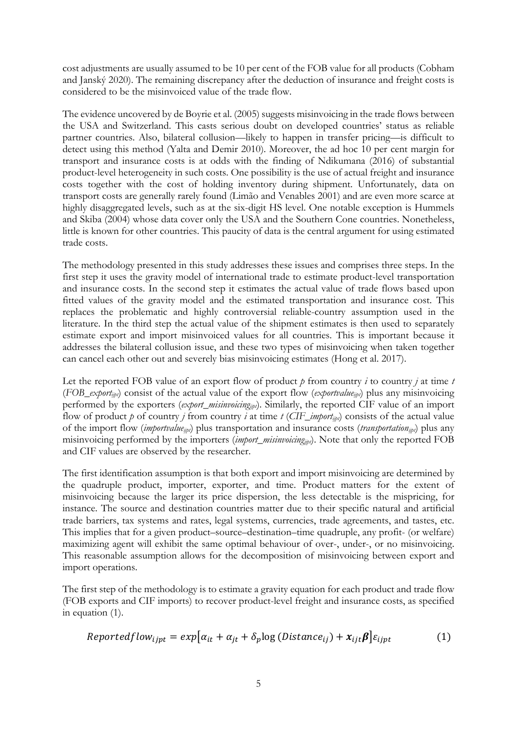cost adjustments are usually assumed to be 10 per cent of the FOB value for all products (Cobham and Janský 2020). The remaining discrepancy after the deduction of insurance and freight costs is considered to be the misinvoiced value of the trade flow.

The evidence uncovered by de Boyrie et al. (2005) suggests misinvoicing in the trade flows between the USA and Switzerland. This casts serious doubt on developed countries' status as reliable partner countries. Also, bilateral collusion—likely to happen in transfer pricing—is difficult to detect using this method (Yalta and Demir 2010). Moreover, the ad hoc 10 per cent margin for transport and insurance costs is at odds with the finding of Ndikumana (2016) of substantial product-level heterogeneity in such costs. One possibility is the use of actual freight and insurance costs together with the cost of holding inventory during shipment. Unfortunately, data on transport costs are generally rarely found (Limão and Venables 2001) and are even more scarce at highly disaggregated levels, such as at the six-digit HS level. One notable exception is Hummels and Skiba (2004) whose data cover only the USA and the Southern Cone countries. Nonetheless, little is known for other countries. This paucity of data is the central argument for using estimated trade costs.

The methodology presented in this study addresses these issues and comprises three steps. In the first step it uses the gravity model of international trade to estimate product-level transportation and insurance costs. In the second step it estimates the actual value of trade flows based upon fitted values of the gravity model and the estimated transportation and insurance cost. This replaces the problematic and highly controversial reliable-country assumption used in the literature. In the third step the actual value of the shipment estimates is then used to separately estimate export and import misinvoiced values for all countries. This is important because it addresses the bilateral collusion issue, and these two types of misinvoicing when taken together can cancel each other out and severely bias misinvoicing estimates (Hong et al. 2017).

Let the reported FOB value of an export flow of product  $p$  from country  $i$  to country  $j$  at time  $t$ (*FOB\_exportijpt*) consist of the actual value of the export flow (*exportvalueijpt*) plus any misinvoicing performed by the exporters (*export\_misinvoicing<sub>ipt</sub>*). Similarly, the reported CIF value of an import flow of product *p* of country *j* from country *i* at time *t* (*CIF\_import<sub>int</sub>*) consists of the actual value of the import flow (*importvalue<sub>ijpt</sub>*) plus transportation and insurance costs (*transportation<sub>ijpt</sub>*) plus any misinvoicing performed by the importers (*import\_misinvoicingijpt*). Note that only the reported FOB and CIF values are observed by the researcher.

The first identification assumption is that both export and import misinvoicing are determined by the quadruple product, importer, exporter, and time. Product matters for the extent of misinvoicing because the larger its price dispersion, the less detectable is the mispricing, for instance. The source and destination countries matter due to their specific natural and artificial trade barriers, tax systems and rates, legal systems, currencies, trade agreements, and tastes, etc. This implies that for a given product–source–destination–time quadruple, any profit- (or welfare) maximizing agent will exhibit the same optimal behaviour of over-, under-, or no misinvoicing. This reasonable assumption allows for the decomposition of misinvoicing between export and import operations.

The first step of the methodology is to estimate a gravity equation for each product and trade flow (FOB exports and CIF imports) to recover product-level freight and insurance costs, as specified in equation (1).

$$
Reported flow_{ijpt} = exp[\alpha_{it} + \alpha_{jt} + \delta_p \log (Distance_{ij}) + x_{ijt} \beta] \varepsilon_{ijpt}
$$
 (1)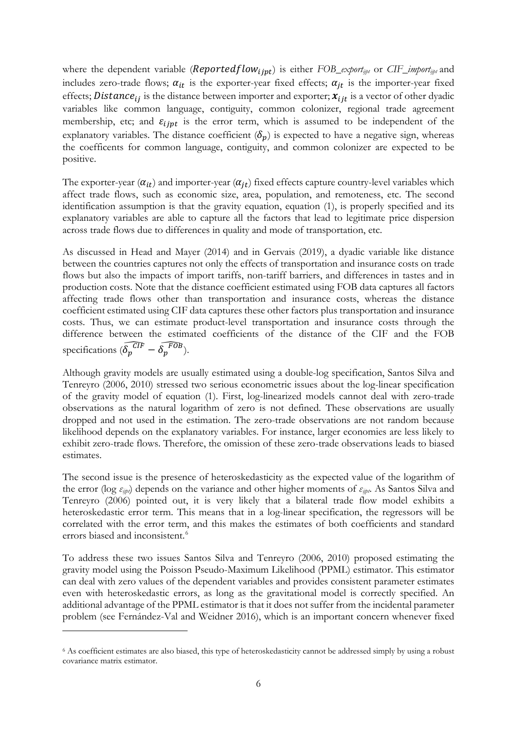where the dependent variable ( $\textit{Reportedflow}_{ijpt}$ ) is either *FOB\_export<sub>ijpt</sub>* or *CIF\_import<sub>ijpt</sub>* and includes zero-trade flows;  $\alpha_{it}$  is the exporter-year fixed effects;  $\alpha_{it}$  is the importer-year fixed effects; *Distance*<sub>ij</sub> is the distance between importer and exporter;  $x_{ijt}$  is a vector of other dyadic variables like common language, contiguity, common colonizer, regional trade agreement membership, etc; and  $\varepsilon_{ijpt}$  is the error term, which is assumed to be independent of the explanatory variables. The distance coefficient  $(\delta_n)$  is expected to have a negative sign, whereas the coefficents for common language, contiguity, and common colonizer are expected to be positive.

The exporter-year  $(\alpha_{it})$  and importer-year  $(\alpha_{it})$  fixed effects capture country-level variables which affect trade flows, such as economic size, area, population, and remoteness, etc. The second identification assumption is that the gravity equation, equation (1), is properly specified and its explanatory variables are able to capture all the factors that lead to legitimate price dispersion across trade flows due to differences in quality and mode of transportation, etc.

As discussed in Head and Mayer (2014) and in Gervais (2019), a dyadic variable like distance between the countries captures not only the effects of transportation and insurance costs on trade flows but also the impacts of import tariffs, non-tariff barriers, and differences in tastes and in production costs. Note that the distance coefficient estimated using FOB data captures all factors affecting trade flows other than transportation and insurance costs, whereas the distance coefficient estimated using CIF data captures these other factors plus transportation and insurance costs. Thus, we can estimate product-level transportation and insurance costs through the difference between the estimated coefficients of the distance of the CIF and the FOB specifications  $(\delta_p^{\overline{CIF}} - \delta_p^{\overline{FOB}})$ .

Although gravity models are usually estimated using a double-log specification, Santos Silva and Tenreyro (2006, 2010) stressed two serious econometric issues about the log-linear specification of the gravity model of equation (1). First, log-linearized models cannot deal with zero-trade observations as the natural logarithm of zero is not defined. These observations are usually dropped and not used in the estimation. The zero-trade observations are not random because likelihood depends on the explanatory variables. For instance, larger economies are less likely to exhibit zero-trade flows. Therefore, the omission of these zero-trade observations leads to biased estimates.

The second issue is the presence of heteroskedasticity as the expected value of the logarithm of the error (log *εijpt*) depends on the variance and other higher moments of *εijpt*. As Santos Silva and Tenreyro (2006) pointed out, it is very likely that a bilateral trade flow model exhibits a heteroskedastic error term. This means that in a log-linear specification, the regressors will be correlated with the error term, and this makes the estimates of both coefficients and standard errors biased and inconsistent.<sup>[6](#page-6-0)</sup>

To address these two issues Santos Silva and Tenreyro (2006, 2010) proposed estimating the gravity model using the Poisson Pseudo-Maximum Likelihood (PPML) estimator. This estimator can deal with zero values of the dependent variables and provides consistent parameter estimates even with heteroskedastic errors, as long as the gravitational model is correctly specified. An additional advantage of the PPML estimator is that it does not suffer from the incidental parameter problem (see Fernández-Val and Weidner 2016), which is an important concern whenever fixed

<span id="page-6-0"></span><sup>6</sup> As coefficient estimates are also biased, this type of heteroskedasticity cannot be addressed simply by using a robust covariance matrix estimator.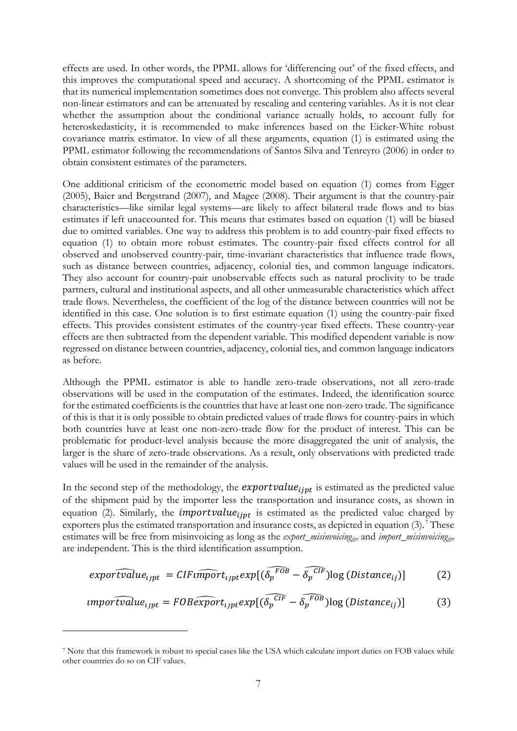effects are used. In other words, the PPML allows for 'differencing out' of the fixed effects, and this improves the computational speed and accuracy. A shortcoming of the PPML estimator is that its numerical implementation sometimes does not converge. This problem also affects several non-linear estimators and can be attenuated by rescaling and centering variables. As it is not clear whether the assumption about the conditional variance actually holds, to account fully for heteroskedasticity, it is recommended to make inferences based on the Eicker-White robust covariance matrix estimator. In view of all these arguments, equation (1) is estimated using the PPML estimator following the recommendations of Santos Silva and Tenreyro (2006) in order to obtain consistent estimates of the parameters.

One additional criticism of the econometric model based on equation (1) comes from Egger (2005), Baier and Bergstrand (2007), and Magee (2008). Their argument is that the country-pair characteristics—like similar legal systems—are likely to affect bilateral trade flows and to bias estimates if left unaccounted for. This means that estimates based on equation (1) will be biased due to omitted variables. One way to address this problem is to add country-pair fixed effects to equation (1) to obtain more robust estimates. The country-pair fixed effects control for all observed and unobserved country-pair, time-invariant characteristics that influence trade flows, such as distance between countries, adjacency, colonial ties, and common language indicators. They also account for country-pair unobservable effects such as natural proclivity to be trade partners, cultural and institutional aspects, and all other unmeasurable characteristics which affect trade flows. Nevertheless, the coefficient of the log of the distance between countries will not be identified in this case. One solution is to first estimate equation (1) using the country-pair fixed effects. This provides consistent estimates of the country-year fixed effects. These country-year effects are then subtracted from the dependent variable. This modified dependent variable is now regressed on distance between countries, adjacency, colonial ties, and common language indicators as before.

Although the PPML estimator is able to handle zero-trade observations, not all zero-trade observations will be used in the computation of the estimates. Indeed, the identification source for the estimated coefficients is the countries that have at least one non-zero trade. The significance of this is that it is only possible to obtain predicted values of trade flows for country-pairs in which both countries have at least one non-zero-trade flow for the product of interest. This can be problematic for product-level analysis because the more disaggregated the unit of analysis, the larger is the share of zero-trade observations. As a result, only observations with predicted trade values will be used in the remainder of the analysis.

In the second step of the methodology, the *exportvalue* is estimated as the predicted value of the shipment paid by the importer less the transportation and insurance costs, as shown in equation (2). Similarly, the *importvalue*  $_{int}$  is estimated as the predicted value charged by exporters plus the estimated transportation and insurance costs, as depicted in equation  $(3)$ .<sup>[7](#page-7-0)</sup> These estimates will be free from misinvoicing as long as the *export\_misinvoicingijpt* and *import\_misinvoicingijpt* are independent. This is the third identification assumption.

$$
exportvalue_{ijpt} = CIFu\widehat{mport}_{ijpt}exp[(\widehat{\delta_p^{FOB}} - \widehat{\delta_p^{CIF}})log(Distance_{ij})]
$$
 (2)

$$
import value_{ijpt} = FOB \widehat{export}_{ijpt} exp[(\widehat{\delta_p^{CIF}} - \widehat{\delta_p^{FOB}}) \log(Distance_{ij})]
$$
(3)

<span id="page-7-0"></span><sup>7</sup> Note that this framework is robust to special cases like the USA which calculate import duties on FOB values while other countries do so on CIF values.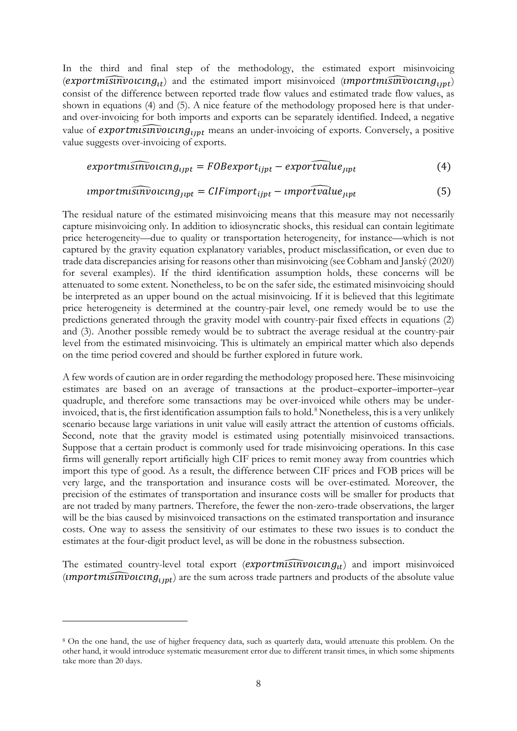In the third and final step of the methodology, the estimated export misinvoicing  $(exportm\widehat{isinvolving}_{tt})$  and the estimated import misinvoiced (*umportmusinvoicing*<sub>upt</sub>) consist of the difference between reported trade flow values and estimated trade flow values, as shown in equations (4) and (5). A nice feature of the methodology proposed here is that underand over-invoicing for both imports and exports can be separately identified. Indeed, a negative value of **exportmismivoicing**<sub>unt</sub> means an under-invoicing of exports. Conversely, a positive value suggests over-invoicing of exports.

$$
exportmsimvocusing_{ijpt} = FOB export_{ijpt} - exportvalue_{jipt}
$$
 (4)

## $\{emportm is \widehat{inv} occurs\}_{\text{int}} = \text{CIF} \widehat{im} port_{\text{ijpt}} - \text{im} \widehat{portvalue}_{\text{ijpt}}$  (5)

The residual nature of the estimated misinvoicing means that this measure may not necessarily capture misinvoicing only. In addition to idiosyncratic shocks, this residual can contain legitimate price heterogeneity—due to quality or transportation heterogeneity, for instance—which is not captured by the gravity equation explanatory variables, product misclassification, or even due to trade data discrepancies arising for reasons other than misinvoicing (see Cobham and Janský (2020) for several examples). If the third identification assumption holds, these concerns will be attenuated to some extent. Nonetheless, to be on the safer side, the estimated misinvoicing should be interpreted as an upper bound on the actual misinvoicing. If it is believed that this legitimate price heterogeneity is determined at the country-pair level, one remedy would be to use the predictions generated through the gravity model with country-pair fixed effects in equations (2) and (3). Another possible remedy would be to subtract the average residual at the country-pair level from the estimated misinvoicing. This is ultimately an empirical matter which also depends on the time period covered and should be further explored in future work.

A few words of caution are in order regarding the methodology proposed here. These misinvoicing estimates are based on an average of transactions at the product–exporter–importer–year quadruple, and therefore some transactions may be over-invoiced while others may be under-invoiced, that is, the first identification assumption fails to hold.<sup>[8](#page-8-0)</sup> Nonetheless, this is a very unlikely scenario because large variations in unit value will easily attract the attention of customs officials. Second, note that the gravity model is estimated using potentially misinvoiced transactions. Suppose that a certain product is commonly used for trade misinvoicing operations. In this case firms will generally report artificially high CIF prices to remit money away from countries which import this type of good. As a result, the difference between CIF prices and FOB prices will be very large, and the transportation and insurance costs will be over-estimated*.* Moreover, the precision of the estimates of transportation and insurance costs will be smaller for products that are not traded by many partners. Therefore, the fewer the non-zero-trade observations, the larger will be the bias caused by misinvoiced transactions on the estimated transportation and insurance costs. One way to assess the sensitivity of our estimates to these two issues is to conduct the estimates at the four-digit product level, as will be done in the robustness subsection.

The estimated country-level total export  $(exportm\widehat{isinvole} and)$  and import misinvoiced ( � ) are the sum across trade partners and products of the absolute value

<span id="page-8-0"></span><sup>&</sup>lt;sup>8</sup> On the one hand, the use of higher frequency data, such as quarterly data, would attenuate this problem. On the other hand, it would introduce systematic measurement error due to different transit times, in which some shipments take more than 20 days.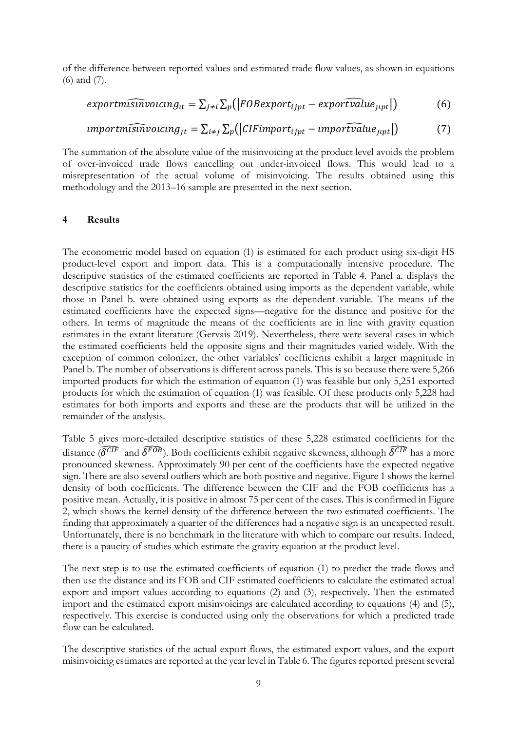of the difference between reported values and estimated trade flow values, as shown in equations (6) and (7).

$$
exportm\widehat{\text{simv}o} \text{ucing}_{tt} = \sum_{j \neq i} \sum_{p} (|FOBexport_{ijpt} - exportvalue_{jipt}|) \tag{6}
$$

$$
important \widehat{\text{snv} } \text{occ} \, \text{arg}_{jt} = \sum_{i \neq j} \sum_{p} (|CIF \text{im} \text{port}_{ijpt} - \text{im} \text{portvalue}_{jipt}|) \tag{7}
$$

The summation of the absolute value of the misinvoicing at the product level avoids the problem of over-invoiced trade flows cancelling out under-invoiced flows. This would lead to a misrepresentation of the actual volume of misinvoicing. The results obtained using this methodology and the 2013–16 sample are presented in the next section.

#### **4 Results**

The econometric model based on equation (1) is estimated for each product using six-digit HS product-level export and import data. This is a computationally intensive procedure. The descriptive statistics of the estimated coefficients are reported in Table 4. Panel a. displays the descriptive statistics for the coefficients obtained using imports as the dependent variable, while those in Panel b. were obtained using exports as the dependent variable. The means of the estimated coefficients have the expected signs—negative for the distance and positive for the others. In terms of magnitude the means of the coefficients are in line with gravity equation estimates in the extant literature (Gervais 2019). Nevertheless, there were several cases in which the estimated coefficients held the opposite signs and their magnitudes varied widely. With the exception of common colonizer, the other variables' coefficients exhibit a larger magnitude in Panel b. The number of observations is different across panels. This is so because there were 5,266 imported products for which the estimation of equation (1) was feasible but only 5,251 exported products for which the estimation of equation (1) was feasible. Of these products only 5,228 had estimates for both imports and exports and these are the products that will be utilized in the remainder of the analysis.

Table 5 gives more-detailed descriptive statistics of these 5,228 estimated coefficients for the distance ( $\delta^{CI\vec{F}}$  and  $\delta^{FO\vec{B}}$ ). Both coefficients exhibit negative skewness, although  $\delta^{CI\vec{F}}$  has a more pronounced skewness. Approximately 90 per cent of the coefficients have the expected negative sign. There are also several outliers which are both positive and negative. Figure 1 shows the kernel density of both coefficients. The difference between the CIF and the FOB coefficients has a positive mean. Actually, it is positive in almost 75 per cent of the cases. This is confirmed in Figure 2, which shows the kernel density of the difference between the two estimated coefficients. The finding that approximately a quarter of the differences had a negative sign is an unexpected result. Unfortunately, there is no benchmark in the literature with which to compare our results. Indeed, there is a paucity of studies which estimate the gravity equation at the product level.

The next step is to use the estimated coefficients of equation (1) to predict the trade flows and then use the distance and its FOB and CIF estimated coefficients to calculate the estimated actual export and import values according to equations (2) and (3), respectively. Then the estimated import and the estimated export misinvoicings are calculated according to equations (4) and (5), respectively. This exercise is conducted using only the observations for which a predicted trade flow can be calculated.

The descriptive statistics of the actual export flows, the estimated export values, and the export misinvoicing estimates are reported at the year level in Table 6. The figures reported present several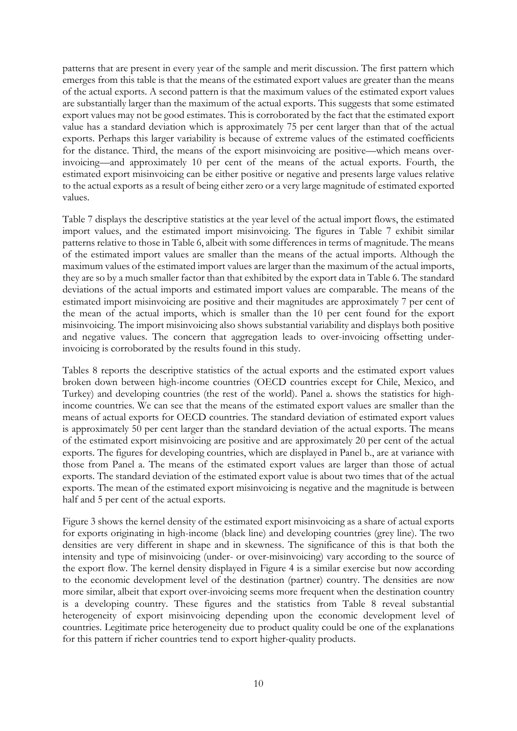patterns that are present in every year of the sample and merit discussion. The first pattern which emerges from this table is that the means of the estimated export values are greater than the means of the actual exports. A second pattern is that the maximum values of the estimated export values are substantially larger than the maximum of the actual exports. This suggests that some estimated export values may not be good estimates. This is corroborated by the fact that the estimated export value has a standard deviation which is approximately 75 per cent larger than that of the actual exports. Perhaps this larger variability is because of extreme values of the estimated coefficients for the distance. Third, the means of the export misinvoicing are positive—which means overinvoicing—and approximately 10 per cent of the means of the actual exports. Fourth, the estimated export misinvoicing can be either positive or negative and presents large values relative to the actual exports as a result of being either zero or a very large magnitude of estimated exported values.

Table 7 displays the descriptive statistics at the year level of the actual import flows, the estimated import values, and the estimated import misinvoicing. The figures in Table 7 exhibit similar patterns relative to those in Table 6, albeit with some differences in terms of magnitude. The means of the estimated import values are smaller than the means of the actual imports. Although the maximum values of the estimated import values are larger than the maximum of the actual imports, they are so by a much smaller factor than that exhibited by the export data in Table 6. The standard deviations of the actual imports and estimated import values are comparable. The means of the estimated import misinvoicing are positive and their magnitudes are approximately 7 per cent of the mean of the actual imports, which is smaller than the 10 per cent found for the export misinvoicing. The import misinvoicing also shows substantial variability and displays both positive and negative values. The concern that aggregation leads to over-invoicing offsetting underinvoicing is corroborated by the results found in this study.

Tables 8 reports the descriptive statistics of the actual exports and the estimated export values broken down between high-income countries (OECD countries except for Chile, Mexico, and Turkey) and developing countries (the rest of the world). Panel a. shows the statistics for highincome countries. We can see that the means of the estimated export values are smaller than the means of actual exports for OECD countries. The standard deviation of estimated export values is approximately 50 per cent larger than the standard deviation of the actual exports. The means of the estimated export misinvoicing are positive and are approximately 20 per cent of the actual exports. The figures for developing countries, which are displayed in Panel b., are at variance with those from Panel a. The means of the estimated export values are larger than those of actual exports. The standard deviation of the estimated export value is about two times that of the actual exports. The mean of the estimated export misinvoicing is negative and the magnitude is between half and 5 per cent of the actual exports.

Figure 3 shows the kernel density of the estimated export misinvoicing as a share of actual exports for exports originating in high-income (black line) and developing countries (grey line). The two densities are very different in shape and in skewness. The significance of this is that both the intensity and type of misinvoicing (under- or over-misinvoicing) vary according to the source of the export flow. The kernel density displayed in Figure 4 is a similar exercise but now according to the economic development level of the destination (partner) country. The densities are now more similar, albeit that export over-invoicing seems more frequent when the destination country is a developing country. These figures and the statistics from Table 8 reveal substantial heterogeneity of export misinvoicing depending upon the economic development level of countries. Legitimate price heterogeneity due to product quality could be one of the explanations for this pattern if richer countries tend to export higher-quality products.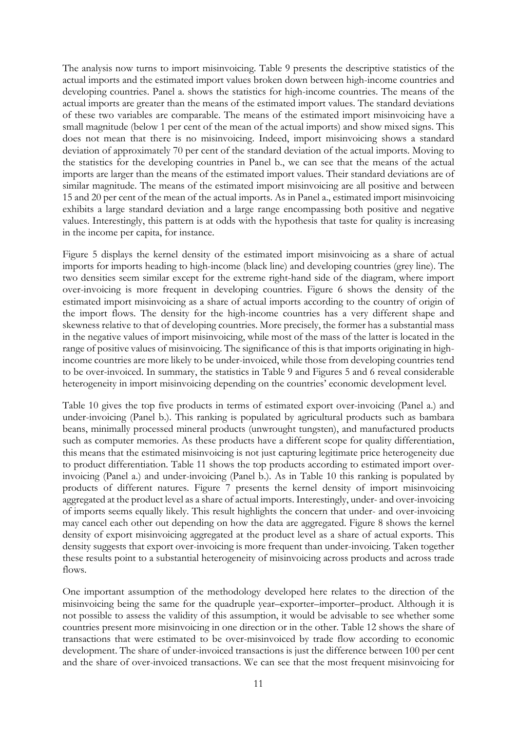The analysis now turns to import misinvoicing. Table 9 presents the descriptive statistics of the actual imports and the estimated import values broken down between high-income countries and developing countries. Panel a. shows the statistics for high-income countries. The means of the actual imports are greater than the means of the estimated import values. The standard deviations of these two variables are comparable. The means of the estimated import misinvoicing have a small magnitude (below 1 per cent of the mean of the actual imports) and show mixed signs. This does not mean that there is no misinvoicing. Indeed, import misinvoicing shows a standard deviation of approximately 70 per cent of the standard deviation of the actual imports. Moving to the statistics for the developing countries in Panel b., we can see that the means of the actual imports are larger than the means of the estimated import values. Their standard deviations are of similar magnitude. The means of the estimated import misinvoicing are all positive and between 15 and 20 per cent of the mean of the actual imports. As in Panel a., estimated import misinvoicing exhibits a large standard deviation and a large range encompassing both positive and negative values. Interestingly, this pattern is at odds with the hypothesis that taste for quality is increasing in the income per capita, for instance.

Figure 5 displays the kernel density of the estimated import misinvoicing as a share of actual imports for imports heading to high-income (black line) and developing countries (grey line). The two densities seem similar except for the extreme right-hand side of the diagram, where import over-invoicing is more frequent in developing countries. Figure 6 shows the density of the estimated import misinvoicing as a share of actual imports according to the country of origin of the import flows. The density for the high-income countries has a very different shape and skewness relative to that of developing countries. More precisely, the former has a substantial mass in the negative values of import misinvoicing, while most of the mass of the latter is located in the range of positive values of misinvoicing. The significance of this is that imports originating in highincome countries are more likely to be under-invoiced, while those from developing countries tend to be over-invoiced. In summary, the statistics in Table 9 and Figures 5 and 6 reveal considerable heterogeneity in import misinvoicing depending on the countries' economic development level.

Table 10 gives the top five products in terms of estimated export over-invoicing (Panel a.) and under-invoicing (Panel b.). This ranking is populated by agricultural products such as bambara beans, minimally processed mineral products (unwrought tungsten), and manufactured products such as computer memories. As these products have a different scope for quality differentiation, this means that the estimated misinvoicing is not just capturing legitimate price heterogeneity due to product differentiation. Table 11 shows the top products according to estimated import overinvoicing (Panel a.) and under-invoicing (Panel b.). As in Table 10 this ranking is populated by products of different natures. Figure 7 presents the kernel density of import misinvoicing aggregated at the product level as a share of actual imports. Interestingly, under- and over-invoicing of imports seems equally likely. This result highlights the concern that under- and over-invoicing may cancel each other out depending on how the data are aggregated. Figure 8 shows the kernel density of export misinvoicing aggregated at the product level as a share of actual exports. This density suggests that export over-invoicing is more frequent than under-invoicing. Taken together these results point to a substantial heterogeneity of misinvoicing across products and across trade flows.

One important assumption of the methodology developed here relates to the direction of the misinvoicing being the same for the quadruple year–exporter–importer–product. Although it is not possible to assess the validity of this assumption, it would be advisable to see whether some countries present more misinvoicing in one direction or in the other. Table 12 shows the share of transactions that were estimated to be over-misinvoiced by trade flow according to economic development. The share of under-invoiced transactions is just the difference between 100 per cent and the share of over-invoiced transactions. We can see that the most frequent misinvoicing for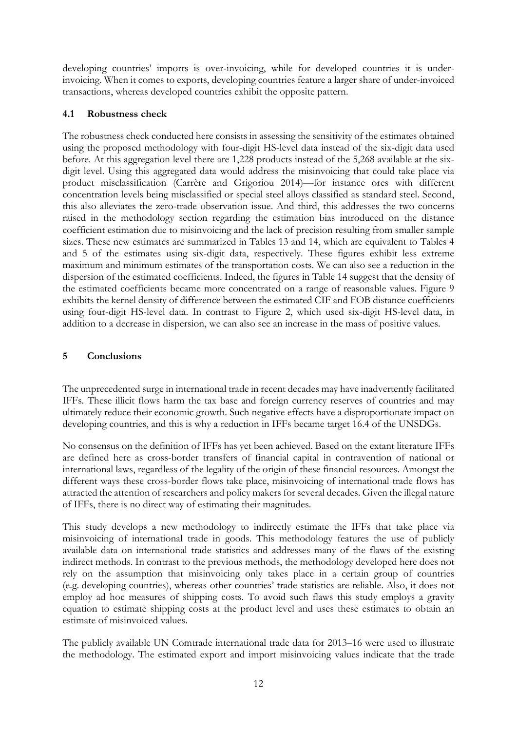developing countries' imports is over-invoicing, while for developed countries it is underinvoicing. When it comes to exports, developing countries feature a larger share of under-invoiced transactions, whereas developed countries exhibit the opposite pattern.

## **4.1 Robustness check**

The robustness check conducted here consists in assessing the sensitivity of the estimates obtained using the proposed methodology with four-digit HS-level data instead of the six-digit data used before. At this aggregation level there are 1,228 products instead of the 5,268 available at the sixdigit level. Using this aggregated data would address the misinvoicing that could take place via product misclassification (Carrère and Grigoriou 2014)—for instance ores with different concentration levels being misclassified or special steel alloys classified as standard steel. Second, this also alleviates the zero-trade observation issue. And third, this addresses the two concerns raised in the methodology section regarding the estimation bias introduced on the distance coefficient estimation due to misinvoicing and the lack of precision resulting from smaller sample sizes. These new estimates are summarized in Tables 13 and 14, which are equivalent to Tables 4 and 5 of the estimates using six-digit data, respectively. These figures exhibit less extreme maximum and minimum estimates of the transportation costs. We can also see a reduction in the dispersion of the estimated coefficients. Indeed, the figures in Table 14 suggest that the density of the estimated coefficients became more concentrated on a range of reasonable values. Figure 9 exhibits the kernel density of difference between the estimated CIF and FOB distance coefficients using four-digit HS-level data. In contrast to Figure 2, which used six-digit HS-level data, in addition to a decrease in dispersion, we can also see an increase in the mass of positive values.

## **5 Conclusions**

The unprecedented surge in international trade in recent decades may have inadvertently facilitated IFFs. These illicit flows harm the tax base and foreign currency reserves of countries and may ultimately reduce their economic growth. Such negative effects have a disproportionate impact on developing countries, and this is why a reduction in IFFs became target 16.4 of the UNSDGs.

No consensus on the definition of IFFs has yet been achieved. Based on the extant literature IFFs are defined here as cross-border transfers of financial capital in contravention of national or international laws, regardless of the legality of the origin of these financial resources. Amongst the different ways these cross-border flows take place, misinvoicing of international trade flows has attracted the attention of researchers and policy makers for several decades. Given the illegal nature of IFFs, there is no direct way of estimating their magnitudes.

This study develops a new methodology to indirectly estimate the IFFs that take place via misinvoicing of international trade in goods. This methodology features the use of publicly available data on international trade statistics and addresses many of the flaws of the existing indirect methods. In contrast to the previous methods, the methodology developed here does not rely on the assumption that misinvoicing only takes place in a certain group of countries (e.g. developing countries), whereas other countries' trade statistics are reliable. Also, it does not employ ad hoc measures of shipping costs. To avoid such flaws this study employs a gravity equation to estimate shipping costs at the product level and uses these estimates to obtain an estimate of misinvoiced values.

The publicly available UN Comtrade international trade data for 2013–16 were used to illustrate the methodology. The estimated export and import misinvoicing values indicate that the trade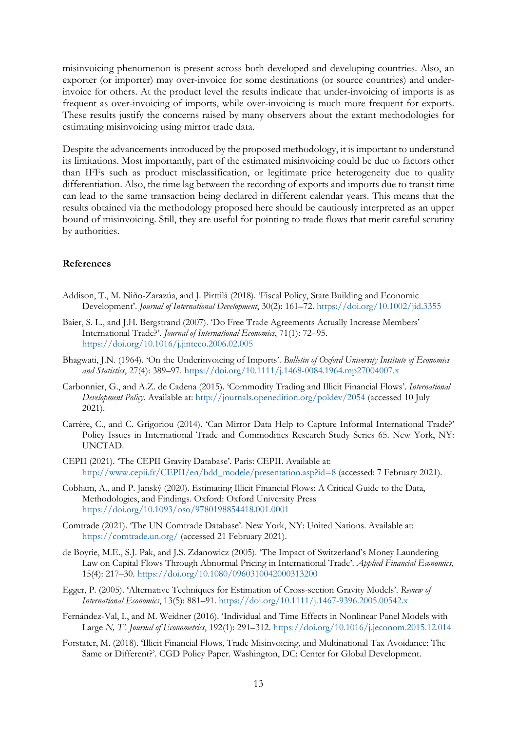misinvoicing phenomenon is present across both developed and developing countries. Also, an exporter (or importer) may over-invoice for some destinations (or source countries) and underinvoice for others. At the product level the results indicate that under-invoicing of imports is as frequent as over-invoicing of imports, while over-invoicing is much more frequent for exports. These results justify the concerns raised by many observers about the extant methodologies for estimating misinvoicing using mirror trade data.

Despite the advancements introduced by the proposed methodology, it is important to understand its limitations. Most importantly, part of the estimated misinvoicing could be due to factors other than IFFs such as product misclassification, or legitimate price heterogeneity due to quality differentiation. Also, the time lag between the recording of exports and imports due to transit time can lead to the same transaction being declared in different calendar years. This means that the results obtained via the methodology proposed here should be cautiously interpreted as an upper bound of misinvoicing. Still, they are useful for pointing to trade flows that merit careful scrutiny by authorities.

#### **References**

- Addison, T., M. Niño-Zarazúa, and J. Pirttilä (2018). 'Fiscal Policy, State Building and Economic Development'. *Journal of International Development*, 30(2): 161–72. <https://doi.org/10.1002/jid.3355>
- Baier, S. L., and J.H. Bergstrand (2007). 'Do Free Trade Agreements Actually Increase Members' International Trade?'. *Journal of International Economics*, 71(1): 72–95. <https://doi.org/10.1016/j.jinteco.2006.02.005>
- Bhagwati, J.N. (1964). 'On the Underinvoicing of Imports'. *Bulletin of Oxford University Institute of Economics and Statistics*, 27(4): 389–97. <https://doi.org/10.1111/j.1468-0084.1964.mp27004007.x>
- Carbonnier, G., and A.Z. de Cadena (2015). 'Commodity Trading and Illicit Financial Flows'. *International Development Policy*. Available at: <http://journals.openedition.org/poldev/2054> (accessed 10 July 2021).
- Carrère, C., and C. Grigoriou (2014). 'Can Mirror Data Help to Capture Informal International Trade?' Policy Issues in International Trade and Commodities Research Study Series 65. New York, NY: UNCTAD.
- CEPII (2021). 'The CEPII Gravity Database'. Paris: CEPII. Available at: [http://www.cepii.fr/CEPII/en/bdd\\_modele/presentation.asp?id=8](http://www.cepii.fr/CEPII/en/bdd_modele/presentation.asp?id=8) (accessed: 7 February 2021).
- Cobham, A., and P. Janský (2020). Estimating Illicit Financial Flows: A Critical Guide to the Data, Methodologies, and Findings. Oxford: Oxford University Press <https://doi.org/10.1093/oso/9780198854418.001.0001>
- Comtrade (2021). 'The UN Comtrade Database'. New York, NY: United Nations. Available at: <https://comtrade.un.org/> (accessed 21 February 2021).
- de Boyrie, M.E., S.J. Pak, and J.S. Zdanowicz (2005). 'The Impact of Switzerland's Money Laundering Law on Capital Flows Through Abnormal Pricing in International Trade'. *Applied Financial Economics*, 15(4): 217–30. <https://doi.org/10.1080/0960310042000313200>
- Egger, P. (2005). 'Alternative Techniques for Estimation of Cross-section Gravity Models'. *Review of International Economics*, 13(5): 881–91. <https://doi.org/10.1111/j.1467-9396.2005.00542.x>
- Fernández-Val, I., and M. Weidner (2016). 'Individual and Time Effects in Nonlinear Panel Models with Large *N, T'*. *Journal of Econometrics*, 192(1): 291–312. <https://doi.org/10.1016/j.jeconom.2015.12.014>
- Forstater, M. (2018). 'Illicit Financial Flows, Trade Misinvoicing, and Multinational Tax Avoidance: The Same or Different?'. CGD Policy Paper. Washington, DC: Center for Global Development.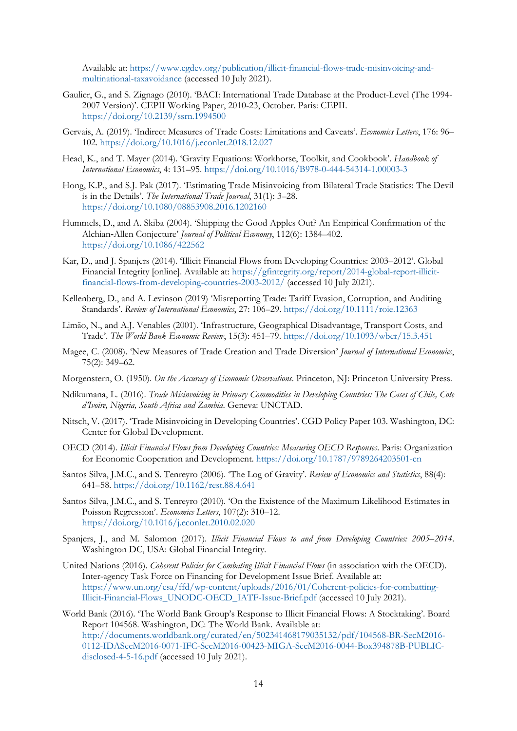Available at: [https://www.cgdev.org/publication/illicit-financial-flows-trade-misinvoicing-and](https://www.cgdev.org/publication/illicit-financial-flows-trade-misinvoicing-and-multinational-taxavoidance)[multinational-taxavoidance](https://www.cgdev.org/publication/illicit-financial-flows-trade-misinvoicing-and-multinational-taxavoidance) (accessed 10 July 2021).

- Gaulier, G., and S. Zignago (2010). 'BACI: International Trade Database at the Product-Level (The 1994- 2007 Version)'. CEPII Working Paper, 2010-23, October. Paris: CEPII. <https://doi.org/10.2139/ssrn.1994500>
- Gervais, A. (2019). 'Indirect Measures of Trade Costs: Limitations and Caveats'. *Economics Letters*, 176: 96– 102. <https://doi.org/10.1016/j.econlet.2018.12.027>
- Head, K., and T. Mayer (2014). 'Gravity Equations: Workhorse, Toolkit, and Cookbook'. *Handbook of International Economics*, 4: 131–95. <https://doi.org/10.1016/B978-0-444-54314-1.00003-3>
- Hong, K.P., and S.J. Pak (2017). 'Estimating Trade Misinvoicing from Bilateral Trade Statistics: The Devil is in the Details'. *The International Trade Journal*, 31(1): 3–28. <https://doi.org/10.1080/08853908.2016.1202160>
- Hummels, D., and A. Skiba (2004). 'Shipping the Good Apples Out? An Empirical Confirmation of the Alchian‐Allen Conjecture' *Journal of Political Economy*, 112(6): 1384–402. <https://doi.org/10.1086/422562>
- Kar, D., and J. Spanjers (2014). 'Illicit Financial Flows from Developing Countries: 2003–2012'. Global Financial Integrity [online]. Available at: [https://gfintegrity.org/report/2014-global-report-illicit](https://gfintegrity.org/report/2014-global-report-illicit-financial-flows-from-developing-countries-2003-2012/)[financial-flows-from-developing-countries-2003-2012/](https://gfintegrity.org/report/2014-global-report-illicit-financial-flows-from-developing-countries-2003-2012/) (accessed 10 July 2021).
- Kellenberg, D., and A. Levinson (2019) 'Misreporting Trade: Tariff Evasion, Corruption, and Auditing Standards'. *Review of International Economics*, 27: 106–29.<https://doi.org/10.1111/roie.12363>
- Limão, N., and A.J. Venables (2001). 'Infrastructure, Geographical Disadvantage, Transport Costs, and Trade'. *The World Bank Economic Review*, 15(3): 451–79. <https://doi.org/10.1093/wber/15.3.451>
- Magee, C. (2008). 'New Measures of Trade Creation and Trade Diversion' *Journal of International Economics*, 75(2): 349–62.
- Morgenstern, O. (1950). *On the Accuracy of Economic Observations*. Princeton, NJ: Princeton University Press.
- Ndikumana, L. (2016). *Trade Misinvoicing in Primary Commodities in Developing Countries: The Cases of Chile, Cote d'Ivoire, Nigeria, South Africa and Zambia*. Geneva: UNCTAD.
- Nitsch, V. (2017). 'Trade Misinvoicing in Developing Countries'. CGD Policy Paper 103. Washington, DC: Center for Global Development.
- OECD (2014). *Illicit Financial Flows from Developing Countries: Measuring OECD Responses*. Paris: Organization for Economic Cooperation and Development.<https://doi.org/10.1787/9789264203501-en>
- Santos Silva, J.M.C., and S. Tenreyro (2006). 'The Log of Gravity'. *Review of Economics and Statistics*, 88(4): 641–58. <https://doi.org/10.1162/rest.88.4.641>
- Santos Silva, J.M.C., and S. Tenreyro (2010). 'On the Existence of the Maximum Likelihood Estimates in Poisson Regression'. *Economics Letters*, 107(2): 310–12. <https://doi.org/10.1016/j.econlet.2010.02.020>
- Spanjers, J., and M. Salomon (2017). *Illicit Financial Flows to and from Developing Countries: 2005–2014*. Washington DC, USA: Global Financial Integrity.
- United Nations (2016). *Coherent Policies for Combating Illicit Financial Flows* (in association with the OECD). Inter-agency Task Force on Financing for Development Issue Brief. Available at: [https://www.un.org/esa/ffd/wp-content/uploads/2016/01/Coherent-policies-for-combatting-](https://www.un.org/esa/ffd/wp-content/uploads/2016/01/Coherent-policies-for-combatting-Illicit-Financial-Flows_UNODC-OECD_IATF-Issue-Brief.pdf)[Illicit-Financial-Flows\\_UNODC-OECD\\_IATF-Issue-Brief.pdf](https://www.un.org/esa/ffd/wp-content/uploads/2016/01/Coherent-policies-for-combatting-Illicit-Financial-Flows_UNODC-OECD_IATF-Issue-Brief.pdf) (accessed 10 July 2021).
- World Bank (2016). 'The World Bank Group's Response to Illicit Financial Flows: A Stocktaking'. Board Report 104568. Washington, DC: The World Bank. Available at: [http://documents.worldbank.org/curated/en/502341468179035132/pdf/104568-BR-SecM2016-](http://documents.worldbank.org/curated/en/502341468179035132/pdf/104568-BR-SecM2016-0112-IDASecM2016-0071-IFC-SecM2016-00423-MIGA-SecM2016-0044-Box394878B-PUBLIC-disclosed-4-5-16.pdf) [0112-IDASecM2016-0071-IFC-SecM2016-00423-MIGA-SecM2016-0044-Box394878B-PUBLIC](http://documents.worldbank.org/curated/en/502341468179035132/pdf/104568-BR-SecM2016-0112-IDASecM2016-0071-IFC-SecM2016-00423-MIGA-SecM2016-0044-Box394878B-PUBLIC-disclosed-4-5-16.pdf)[disclosed-4-5-16.pdf](http://documents.worldbank.org/curated/en/502341468179035132/pdf/104568-BR-SecM2016-0112-IDASecM2016-0071-IFC-SecM2016-00423-MIGA-SecM2016-0044-Box394878B-PUBLIC-disclosed-4-5-16.pdf) (accessed 10 July 2021).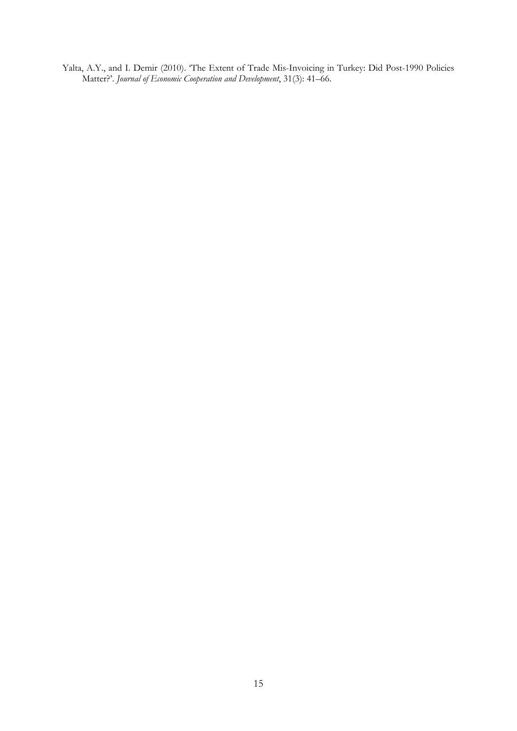Yalta, A.Y., and I. Demir (2010). 'The Extent of Trade Mis-Invoicing in Turkey: Did Post-1990 Policies Matter?'. *Journal of Economic Cooperation and Development*, 31(3): 41–66.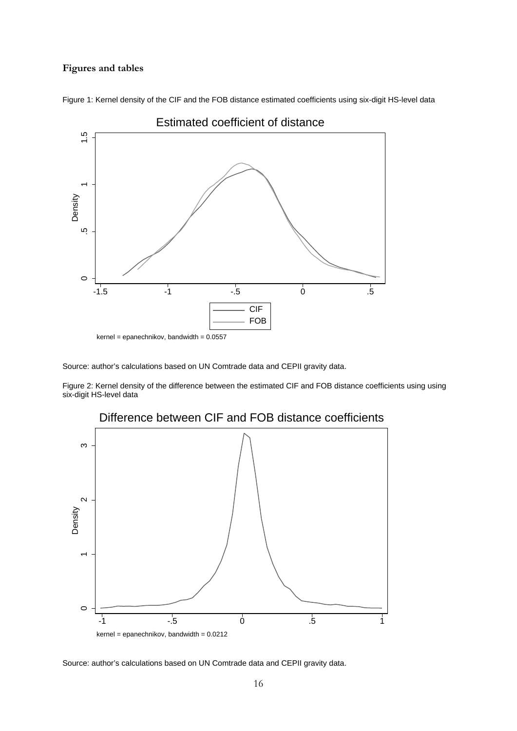#### **Figures and tables**



Figure 1: Kernel density of the CIF and the FOB distance estimated coefficients using six-digit HS-level data

kernel = epanechnikov, bandwidth = 0.0557

Source: author's calculations based on UN Comtrade data and CEPII gravity data.

Figure 2: Kernel density of the difference between the estimated CIF and FOB distance coefficients using using six-digit HS-level data



## Difference between CIF and FOB distance coefficients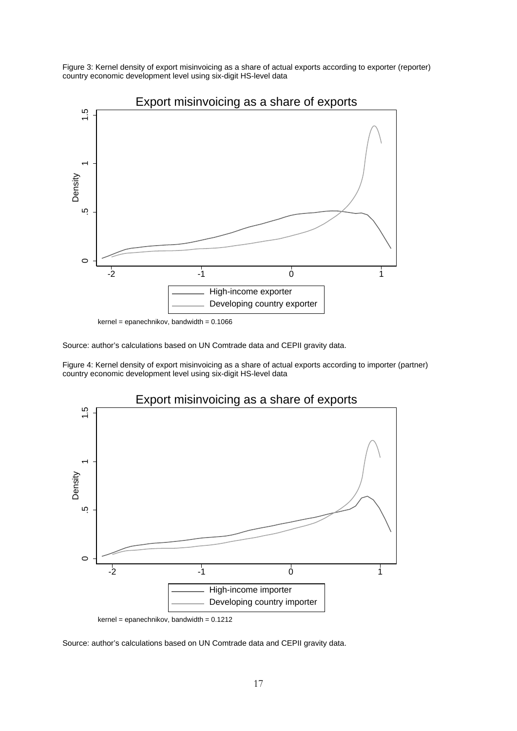Figure 3: Kernel density of export misinvoicing as a share of actual exports according to exporter (reporter) country economic development level using six-digit HS-level data



 $kernel = epanechnikov, bandwidth = 0.1066$ 

Source: author's calculations based on UN Comtrade data and CEPII gravity data.

Figure 4: Kernel density of export misinvoicing as a share of actual exports according to importer (partner) country economic development level using six-digit HS-level data



 $kernel = epanechnikov, bandwidth = 0.1212$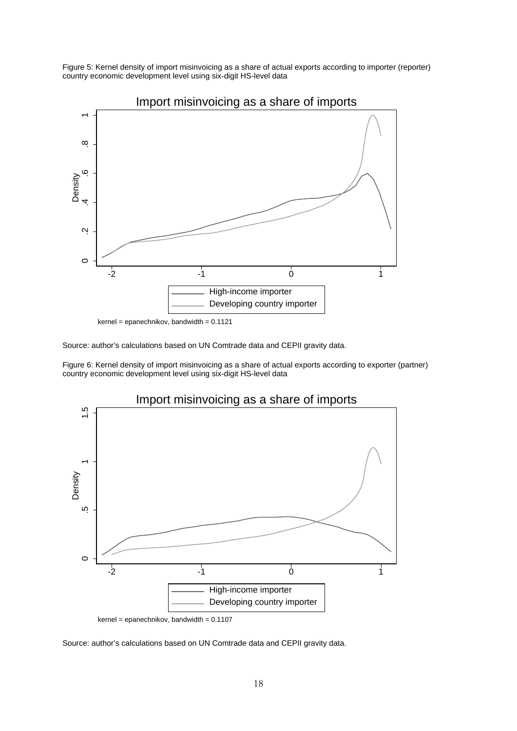Figure 5: Kernel density of import misinvoicing as a share of actual exports according to importer (reporter) country economic development level using six-digit HS-level data



 $kernel = epanechnikov, bandwidth = 0.1121$ 

Source: author's calculations based on UN Comtrade data and CEPII gravity data.

Figure 6: Kernel density of import misinvoicing as a share of actual exports according to exporter (partner) country economic development level using six-digit HS-level data



 $kernel = epanechnikov, bandwidth = 0.1107$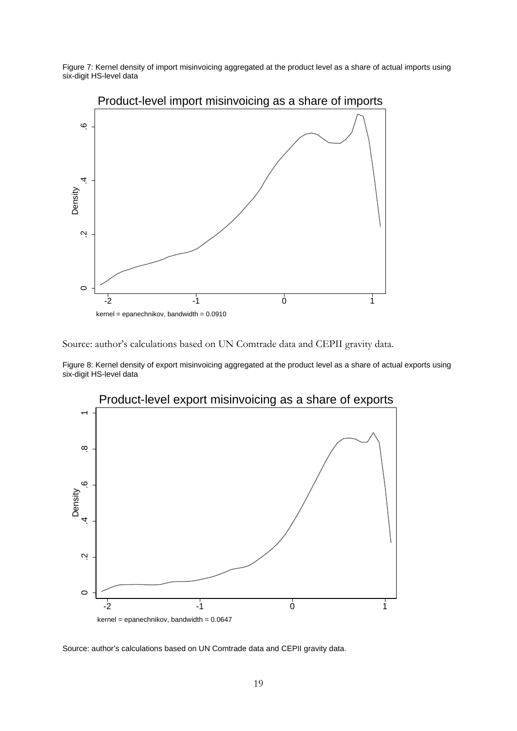Figure 7: Kernel density of import misinvoicing aggregated at the product level as a share of actual imports using six-digit HS-level data



Product-level import misinvoicing as a share of imports

Source: author's calculations based on UN Comtrade data and CEPII gravity data.

Figure 8: Kernel density of export misinvoicing aggregated at the product level as a share of actual exports using six-digit HS-level data

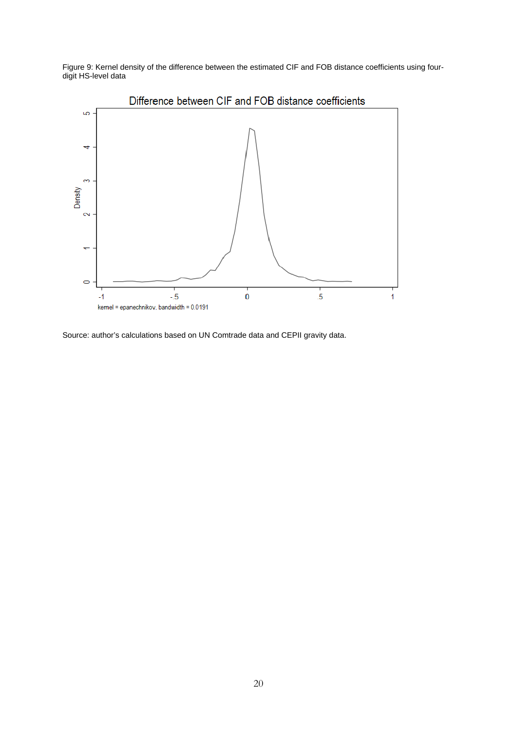Figure 9: Kernel density of the difference between the estimated CIF and FOB distance coefficients using fourdigit HS-level data

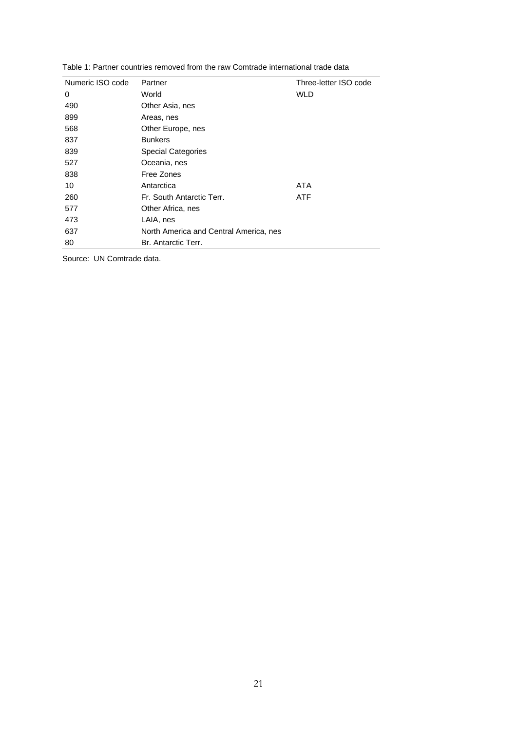| Numeric ISO code | Partner                                | Three-letter ISO code |
|------------------|----------------------------------------|-----------------------|
| 0                | World                                  | WLD                   |
| 490              | Other Asia, nes                        |                       |
| 899              | Areas, nes                             |                       |
| 568              | Other Europe, nes                      |                       |
| 837              | <b>Bunkers</b>                         |                       |
| 839              | <b>Special Categories</b>              |                       |
| 527              | Oceania, nes                           |                       |
| 838              | Free Zones                             |                       |
| 10               | Antarctica                             | ATA                   |
| 260              | Fr. South Antarctic Terr.              | <b>ATF</b>            |
| 577              | Other Africa, nes                      |                       |
| 473              | LAIA, nes                              |                       |
| 637              | North America and Central America, nes |                       |
| 80               | Br. Antarctic Terr.                    |                       |
|                  |                                        |                       |

Table 1: Partner countries removed from the raw Comtrade international trade data

Source: UN Comtrade data.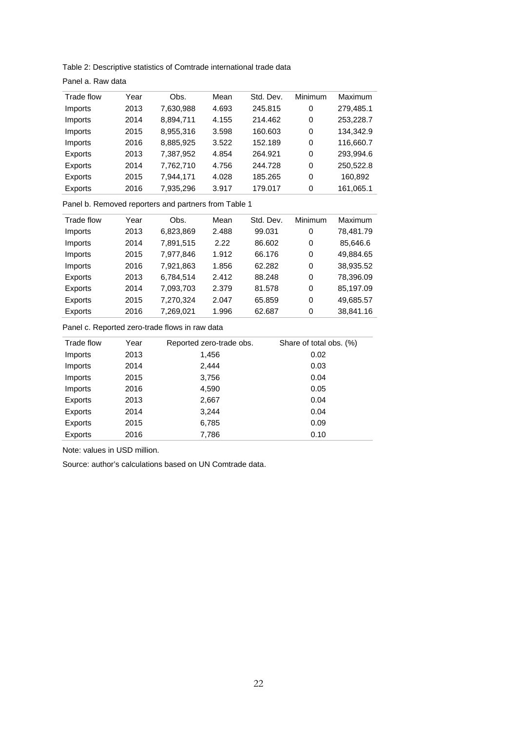Table 2: Descriptive statistics of Comtrade international trade data

Panel a. Raw data

| Trade flow | Year | Obs.      | Mean  | Std. Dev. | Minimum | Maximum   |
|------------|------|-----------|-------|-----------|---------|-----------|
| Imports    | 2013 | 7,630,988 | 4.693 | 245.815   | 0       | 279,485.1 |
| Imports    | 2014 | 8,894,711 | 4.155 | 214.462   | 0       | 253,228.7 |
| Imports    | 2015 | 8,955,316 | 3.598 | 160.603   | 0       | 134,342.9 |
| Imports    | 2016 | 8,885,925 | 3.522 | 152.189   | 0       | 116,660.7 |
| Exports    | 2013 | 7,387,952 | 4.854 | 264.921   | 0       | 293,994.6 |
| Exports    | 2014 | 7,762,710 | 4.756 | 244.728   | 0       | 250,522.8 |
| Exports    | 2015 | 7,944,171 | 4.028 | 185.265   | 0       | 160,892   |
| Exports    | 2016 | 7,935,296 | 3.917 | 179.017   | 0       | 161,065.1 |
|            |      |           |       |           |         |           |

Panel b. Removed reporters and partners from Table 1

| Trade flow     | Year | Obs.      | Mean  | Std. Dev. | <b>Minimum</b> | Maximum   |
|----------------|------|-----------|-------|-----------|----------------|-----------|
| Imports        | 2013 | 6,823,869 | 2.488 | 99.031    | 0              | 78,481.79 |
| Imports        | 2014 | 7,891,515 | 2.22  | 86.602    | 0              | 85,646.6  |
| Imports        | 2015 | 7,977,846 | 1.912 | 66.176    | 0              | 49,884.65 |
| Imports        | 2016 | 7,921,863 | 1.856 | 62.282    | 0              | 38,935.52 |
| Exports        | 2013 | 6,784,514 | 2.412 | 88.248    | 0              | 78,396.09 |
| Exports        | 2014 | 7,093,703 | 2.379 | 81.578    | 0              | 85,197.09 |
| Exports        | 2015 | 7,270,324 | 2.047 | 65.859    | 0              | 49,685.57 |
| <b>Exports</b> | 2016 | 7,269,021 | 1.996 | 62.687    | 0              | 38,841.16 |
|                |      |           |       |           |                |           |

Panel c. Reported zero-trade flows in raw data

| Trade flow | Year | Reported zero-trade obs. | Share of total obs. (%) |
|------------|------|--------------------------|-------------------------|
| Imports    | 2013 | 1,456                    | 0.02                    |
| Imports    | 2014 | 2,444                    | 0.03                    |
| Imports    | 2015 | 3,756                    | 0.04                    |
| Imports    | 2016 | 4,590                    | 0.05                    |
| Exports    | 2013 | 2,667                    | 0.04                    |
| Exports    | 2014 | 3,244                    | 0.04                    |
| Exports    | 2015 | 6,785                    | 0.09                    |
| Exports    | 2016 | 7,786                    | 0.10                    |
|            |      |                          |                         |

Note: values in USD million.

Source: author's calculations based on UN Comtrade data.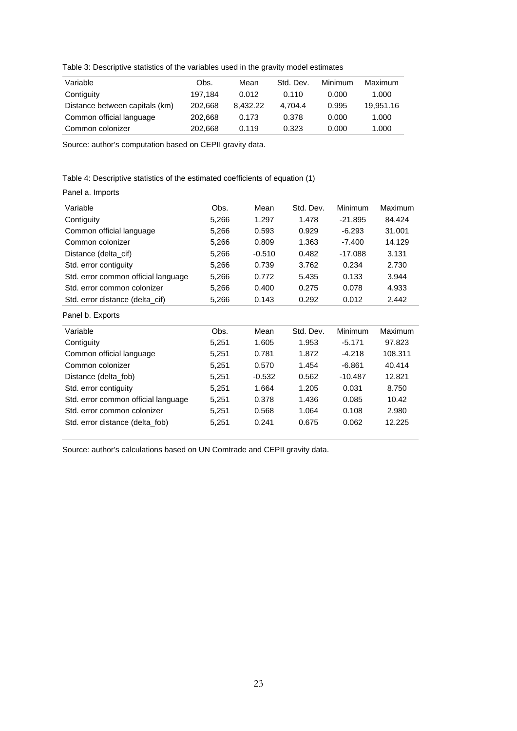Table 3: Descriptive statistics of the variables used in the gravity model estimates

| Variable                       | Obs.    | Mean     | Std. Dev. | Minimum | Maximum   |
|--------------------------------|---------|----------|-----------|---------|-----------|
| Contiguity                     | 197.184 | 0.012    | 0.110     | 0.000   | 1.000     |
| Distance between capitals (km) | 202.668 | 8.432.22 | 4.704.4   | 0.995   | 19.951.16 |
| Common official language       | 202.668 | 0.173    | 0.378     | 0.000   | 1.000     |
| Common colonizer               | 202.668 | 0.119    | 0.323     | 0.000   | 1.000     |

Source: author's computation based on CEPII gravity data.

Table 4: Descriptive statistics of the estimated coefficients of equation (1)

#### Panel a. Imports

| Variable                            | Obs.  | Mean     | Std. Dev. | Minimum   | Maximum |
|-------------------------------------|-------|----------|-----------|-----------|---------|
| Contiguity                          | 5,266 | 1.297    | 1.478     | $-21.895$ | 84.424  |
| Common official language            | 5,266 | 0.593    | 0.929     | $-6.293$  | 31.001  |
| Common colonizer                    | 5,266 | 0.809    | 1.363     | $-7.400$  | 14.129  |
| Distance (delta_cif)                | 5,266 | $-0.510$ | 0.482     | -17.088   | 3.131   |
| Std. error contiguity               | 5,266 | 0.739    | 3.762     | 0.234     | 2.730   |
| Std. error common official language | 5,266 | 0.772    | 5.435     | 0.133     | 3.944   |
| Std. error common colonizer         | 5,266 | 0.400    | 0.275     | 0.078     | 4.933   |
| Std. error distance (delta_cif)     | 5,266 | 0.143    | 0.292     | 0.012     | 2.442   |
| Panel b. Exports                    |       |          |           |           |         |
| Variable                            | Obs.  | Mean     | Std. Dev. | Minimum   | Maximum |
| Contiguity                          | 5,251 | 1.605    | 1.953     | $-5.171$  | 97.823  |
| Common official language            | 5,251 | 0.781    | 1.872     | $-4.218$  | 108.311 |
| Common colonizer                    | 5,251 | 0.570    | 1.454     | $-6.861$  | 40.414  |
| Distance (delta_fob)                | 5,251 | $-0.532$ | 0.562     | -10.487   | 12.821  |
| Std. error contiguity               | 5,251 | 1.664    | 1.205     | 0.031     | 8.750   |
| Std. error common official language | 5,251 | 0.378    | 1.436     | 0.085     | 10.42   |
| Std. error common colonizer         | 5,251 | 0.568    | 1.064     | 0.108     | 2.980   |
| Std. error distance (delta_fob)     | 5,251 | 0.241    | 0.675     | 0.062     | 12.225  |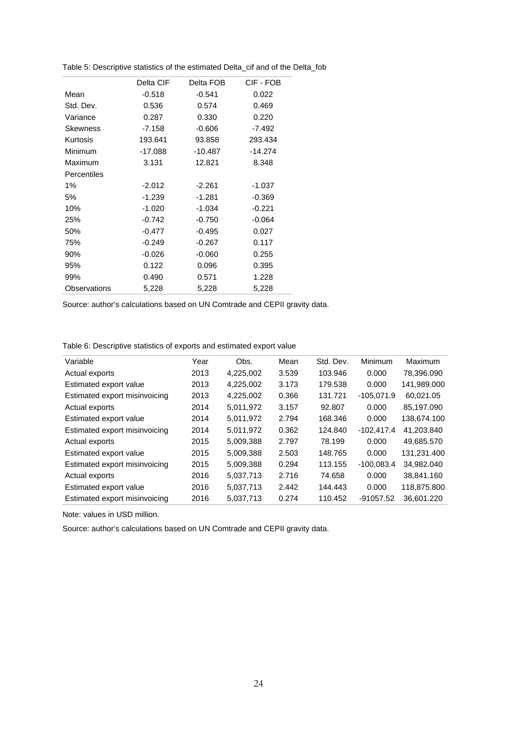|              | Delta CIF | Delta FOB | CIF - FOB |  |
|--------------|-----------|-----------|-----------|--|
| Mean         | $-0.518$  | $-0.541$  | 0.022     |  |
| Std. Dev.    | 0.536     | 0.574     | 0.469     |  |
| Variance     | 0.287     | 0.330     | 0.220     |  |
| Skewness     | $-7.158$  | $-0.606$  | $-7.492$  |  |
| Kurtosis     | 193.641   | 93.858    | 293.434   |  |
| Minimum      | -17.088   | $-10.487$ | $-14.274$ |  |
| Maximum      | 3.131     | 12.821    | 8.348     |  |
| Percentiles  |           |           |           |  |
| 1%           | $-2.012$  | $-2.261$  | $-1.037$  |  |
| 5%           | $-1.239$  | -1.281    | $-0.369$  |  |
| 10%          | $-1.020$  | $-1.034$  | $-0.221$  |  |
| 25%          | $-0.742$  | $-0.750$  | $-0.064$  |  |
| 50%          | $-0.477$  | $-0.495$  | 0.027     |  |
| 75%          | $-0.249$  | $-0.267$  | 0.117     |  |
| 90%          | $-0.026$  | $-0.060$  | 0.255     |  |
| 95%          | 0.122     | 0.096     | 0.395     |  |
| 99%          | 0.490     | 0.571     | 1.228     |  |
| Observations | 5,228     | 5,228     | 5,228     |  |

Table 5: Descriptive statistics of the estimated Delta\_cif and of the Delta\_fob

Source: author's calculations based on UN Comtrade and CEPII gravity data.

Table 6: Descriptive statistics of exports and estimated export value

| Variable                      | Year | Obs.      | Mean  | Std. Dev. | Minimum      | <b>Maximum</b> |
|-------------------------------|------|-----------|-------|-----------|--------------|----------------|
| Actual exports                | 2013 | 4,225,002 | 3.539 | 103.946   | 0.000        | 78.396.090     |
| Estimated export value        | 2013 | 4,225,002 | 3.173 | 179.538   | 0.000        | 141,989.000    |
| Estimated export misinvoicing | 2013 | 4,225,002 | 0.366 | 131.721   | $-105,071.9$ | 60.021.05      |
| Actual exports                | 2014 | 5.011.972 | 3.157 | 92.807    | 0.000        | 85.197.090     |
| Estimated export value        | 2014 | 5,011,972 | 2.794 | 168.346   | 0.000        | 138,674.100    |
| Estimated export misinvoicing | 2014 | 5,011,972 | 0.362 | 124.840   | $-102,417.4$ | 41,203.840     |
| Actual exports                | 2015 | 5,009,388 | 2.797 | 78.199    | 0.000        | 49,685.570     |
| Estimated export value        | 2015 | 5,009,388 | 2.503 | 148.765   | 0.000        | 131.231.400    |
| Estimated export misinvoicing | 2015 | 5,009,388 | 0.294 | 113.155   | $-100,083.4$ | 34.982.040     |
| Actual exports                | 2016 | 5,037,713 | 2.716 | 74.658    | 0.000        | 38,841.160     |
| Estimated export value        | 2016 | 5,037,713 | 2.442 | 144.443   | 0.000        | 118.875.800    |
| Estimated export misinvoicing | 2016 | 5.037.713 | 0.274 | 110.452   | $-91057.52$  | 36.601.220     |
|                               |      |           |       |           |              |                |

Note: values in USD million.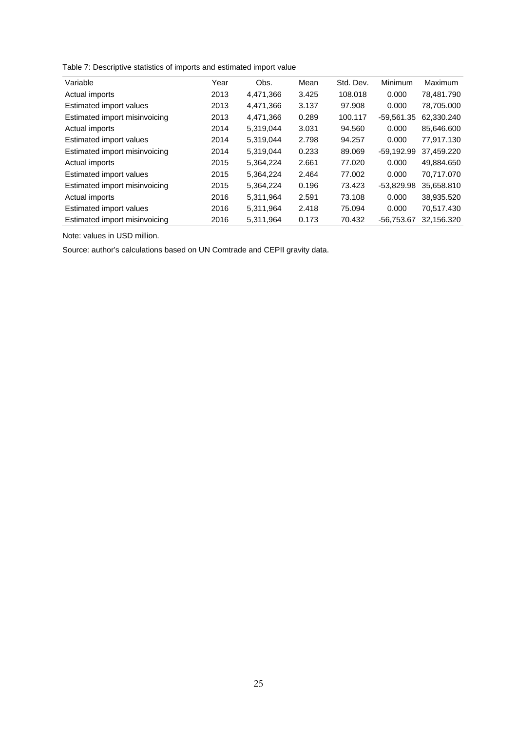Table 7: Descriptive statistics of imports and estimated import value

| Variable                      | Year | Obs.      | Mean  | Std. Dev. | Minimum      | Maximum    |
|-------------------------------|------|-----------|-------|-----------|--------------|------------|
| Actual imports                | 2013 | 4,471,366 | 3.425 | 108.018   | 0.000        | 78.481.790 |
| Estimated import values       | 2013 | 4,471,366 | 3.137 | 97.908    | 0.000        | 78,705.000 |
| Estimated import misinvoicing | 2013 | 4,471,366 | 0.289 | 100.117   | $-59,561.35$ | 62,330.240 |
| Actual imports                | 2014 | 5.319.044 | 3.031 | 94.560    | 0.000        | 85.646.600 |
| Estimated import values       | 2014 | 5.319.044 | 2.798 | 94.257    | 0.000        | 77.917.130 |
| Estimated import misinvoicing | 2014 | 5,319,044 | 0.233 | 89.069    | $-59,192.99$ | 37,459.220 |
| Actual imports                | 2015 | 5.364.224 | 2.661 | 77.020    | 0.000        | 49.884.650 |
| Estimated import values       | 2015 | 5.364.224 | 2.464 | 77.002    | 0.000        | 70.717.070 |
| Estimated import misinvoicing | 2015 | 5,364,224 | 0.196 | 73.423    | $-53,829.98$ | 35,658.810 |
| Actual imports                | 2016 | 5.311.964 | 2.591 | 73.108    | 0.000        | 38.935.520 |
| Estimated import values       | 2016 | 5.311.964 | 2.418 | 75.094    | 0.000        | 70.517.430 |
| Estimated import misinvoicing | 2016 | 5,311,964 | 0.173 | 70.432    | $-56,753.67$ | 32,156.320 |

Note: values in USD million.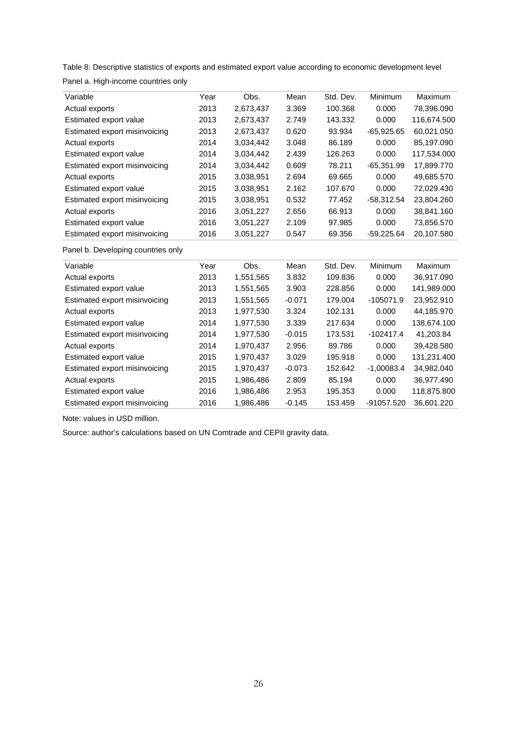Table 8: Descriptive statistics of exports and estimated export value according to economic development level

| Variable                           | Year | Obs.      | Mean     | Std. Dev. | <b>Minimum</b> | <b>Maximum</b> |
|------------------------------------|------|-----------|----------|-----------|----------------|----------------|
| Actual exports                     | 2013 | 2,673,437 | 3.369    | 100.368   | 0.000          | 78,396.090     |
| Estimated export value             | 2013 | 2,673,437 | 2.749    | 143.332   | 0.000          | 116,674.500    |
| Estimated export misinvoicing      | 2013 | 2,673,437 | 0.620    | 93.934    | $-65,925.65$   | 60,021.050     |
| Actual exports                     | 2014 | 3,034,442 | 3.048    | 86.189    | 0.000          | 85,197.090     |
| Estimated export value             | 2014 | 3,034,442 | 2.439    | 126.263   | 0.000          | 117,534.000    |
| Estimated export misinvoicing      | 2014 | 3,034,442 | 0.609    | 78.211    | $-65,351.99$   | 17,899.770     |
| Actual exports                     | 2015 | 3,038,951 | 2.694    | 69.665    | 0.000          | 49,685.570     |
| Estimated export value             | 2015 | 3,038,951 | 2.162    | 107.670   | 0.000          | 72,029.430     |
| Estimated export misinvoicing      | 2015 | 3,038,951 | 0.532    | 77.452    | $-58,312.54$   | 23,804.260     |
| Actual exports                     | 2016 | 3,051,227 | 2.656    | 66.913    | 0.000          | 38,841.160     |
| Estimated export value             | 2016 | 3,051,227 | 2.109    | 97.985    | 0.000          | 73,856.570     |
| Estimated export misinvoicing      | 2016 | 3,051,227 | 0.547    | 69.356    | $-59,225.64$   | 20,107.580     |
| Panel b. Developing countries only |      |           |          |           |                |                |
| Variable                           | Year | Obs.      | Mean     | Std. Dev. | <b>Minimum</b> | Maximum        |
| Actual exports                     | 2013 | 1,551,565 | 3.832    | 109.836   | 0.000          | 36,917.090     |
| Estimated export value             | 2013 | 1,551,565 | 3.903    | 228.856   | 0.000          | 141,989.000    |
| Estimated export misinvoicing      | 2013 | 1,551,565 | $-0.071$ | 179.004   | $-105071.9$    | 23,952.910     |
| Actual exports                     | 2013 | 1,977,530 | 3.324    | 102.131   | 0.000          | 44,185.970     |
| Estimated export value             | 2014 | 1,977,530 | 3.339    | 217.634   | 0.000          | 138,674.100    |
| Estimated export misinvoicing      | 2014 | 1,977,530 | $-0.015$ | 173.531   | $-102417.4$    | 41,203.84      |
| Actual exports                     | 2014 | 1,970,437 | 2.956    | 89.786    | 0.000          | 39,428.580     |
| Estimated export value             | 2015 | 1,970,437 | 3.029    | 195.918   | 0.000          | 131,231.400    |
| Estimated export misinvoicing      | 2015 | 1,970,437 | $-0.073$ | 152.642   | $-1,00083.4$   | 34,982.040     |
| Actual exports                     | 2015 | 1,986,486 | 2.809    | 85.194    | 0.000          | 36,977.490     |
| Estimated export value             | 2016 | 1,986,486 | 2.953    | 195.353   | 0.000          | 118,875.800    |

Estimated export misinvoicing 2016 1,986,486 -0.145 153.459 -91057.520 36,601.220

Panel a. High-income countries only

Note: values in USD million.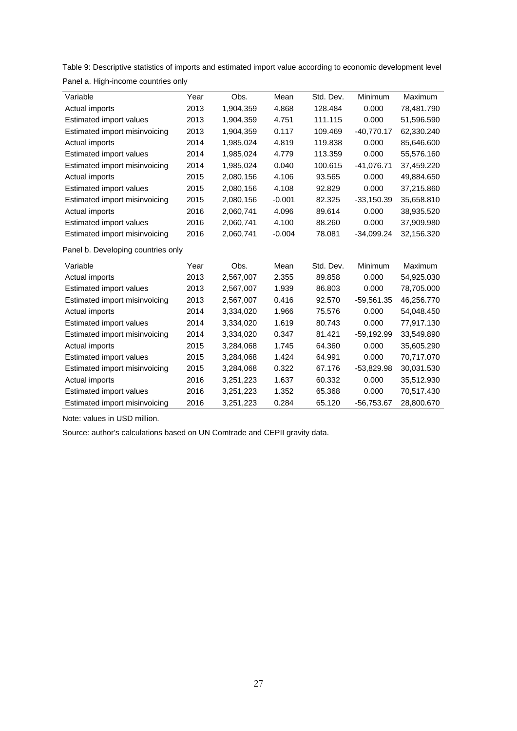Table 9: Descriptive statistics of imports and estimated import value according to economic development level

| Variable                           | Year | Obs.      | Mean     | Std. Dev. | <b>Minimum</b> | Maximum    |
|------------------------------------|------|-----------|----------|-----------|----------------|------------|
| Actual imports                     | 2013 | 1,904,359 | 4.868    | 128.484   | 0.000          | 78,481.790 |
| Estimated import values            | 2013 | 1,904,359 | 4.751    | 111.115   | 0.000          | 51,596.590 |
| Estimated import misinvoicing      | 2013 | 1.904.359 | 0.117    | 109.469   | $-40.770.17$   | 62,330.240 |
| Actual imports                     | 2014 | 1,985,024 | 4.819    | 119.838   | 0.000          | 85.646.600 |
| Estimated import values            | 2014 | 1,985,024 | 4.779    | 113.359   | 0.000          | 55,576.160 |
| Estimated import misinvoicing      | 2014 | 1,985,024 | 0.040    | 100.615   | -41,076.71     | 37,459.220 |
| Actual imports                     | 2015 | 2,080,156 | 4.106    | 93.565    | 0.000          | 49.884.650 |
| Estimated import values            | 2015 | 2,080,156 | 4.108    | 92.829    | 0.000          | 37,215.860 |
| Estimated import misinvoicing      | 2015 | 2,080,156 | $-0.001$ | 82.325    | $-33,150.39$   | 35,658.810 |
| Actual imports                     | 2016 | 2.060.741 | 4.096    | 89.614    | 0.000          | 38.935.520 |
| Estimated import values            | 2016 | 2,060,741 | 4.100    | 88.260    | 0.000          | 37,909.980 |
| Estimated import misinvoicing      | 2016 | 2,060,741 | $-0.004$ | 78.081    | $-34,099.24$   | 32,156.320 |
| Panel b. Developing countries only |      |           |          |           |                |            |
| Variable                           | Year | Obs.      | Mean     | Std. Dev. | Minimum        | Maximum    |

Panel a. High-income countries only

| Variable                      | Year | Obs.      | Mean  | Std. Dev. | Minimum      | Maximum    |
|-------------------------------|------|-----------|-------|-----------|--------------|------------|
| Actual imports                | 2013 | 2,567,007 | 2.355 | 89.858    | 0.000        | 54.925.030 |
| Estimated import values       | 2013 | 2,567,007 | 1.939 | 86.803    | 0.000        | 78,705.000 |
| Estimated import misinvoicing | 2013 | 2.567.007 | 0.416 | 92.570    | $-59,561.35$ | 46.256.770 |
| Actual imports                | 2014 | 3,334,020 | 1.966 | 75.576    | 0.000        | 54,048.450 |
| Estimated import values       | 2014 | 3,334,020 | 1.619 | 80.743    | 0.000        | 77.917.130 |
| Estimated import misinvoicing | 2014 | 3,334,020 | 0.347 | 81.421    | $-59.192.99$ | 33.549.890 |
| Actual imports                | 2015 | 3,284,068 | 1.745 | 64.360    | 0.000        | 35,605.290 |
| Estimated import values       | 2015 | 3,284,068 | 1.424 | 64.991    | 0.000        | 70.717.070 |
| Estimated import misinvoicing | 2015 | 3,284,068 | 0.322 | 67.176    | $-53,829.98$ | 30,031.530 |
| Actual imports                | 2016 | 3,251,223 | 1.637 | 60.332    | 0.000        | 35.512.930 |
| Estimated import values       | 2016 | 3,251,223 | 1.352 | 65.368    | 0.000        | 70.517.430 |
| Estimated import misinvoicing | 2016 | 3,251,223 | 0.284 | 65.120    | $-56.753.67$ | 28.800.670 |

Note: values in USD million.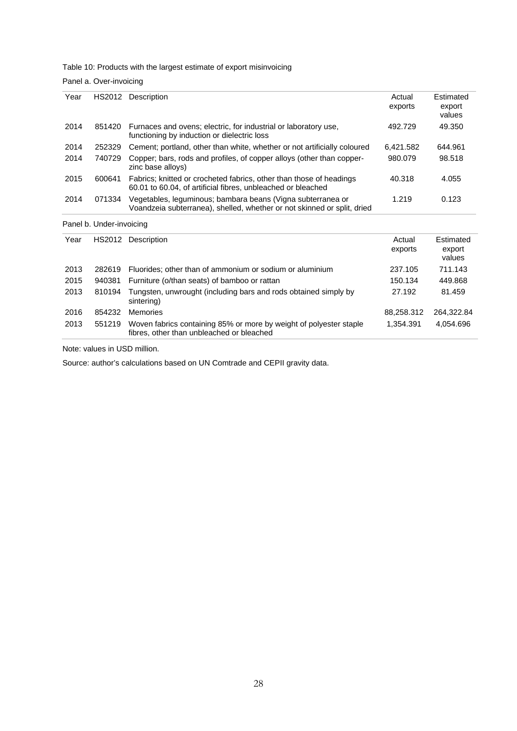Table 10: Products with the largest estimate of export misinvoicing

| Panel a. Over-invoicing |
|-------------------------|
|-------------------------|

| Year<br>HS2012<br>Description<br>Actual<br>exports<br>2014<br>Furnaces and ovens; electric, for industrial or laboratory use,<br>851420<br>492.729<br>functioning by induction or dielectric loss<br>Cement; portland, other than white, whether or not artificially coloured<br>2014<br>252329<br>6.421.582<br>2014<br>740729<br>Copper; bars, rods and profiles, of copper alloys (other than copper-<br>980.079<br>zinc base alloys)<br>2015<br>600641<br>Fabrics; knitted or crocheted fabrics, other than those of headings<br>40.318<br>60.01 to 60.04, of artificial fibres, unbleached or bleached<br>2014<br>Vegetables, leguminous; bambara beans (Vigna subterranea or<br>071334<br>1.219<br>Voandzeia subterranea), shelled, whether or not skinned or split, dried<br>Panel b. Under-invoicing<br>HS2012 Description<br>Year<br>Actual<br>exports<br>2013<br>Fluorides; other than of ammonium or sodium or aluminium<br>237.105<br>282619<br>2015<br>150.134<br>940381<br>Furniture (o/than seats) of bamboo or rattan<br>2013<br>810194<br>Tungsten, unwrought (including bars and rods obtained simply by<br>27.192<br>sintering) |                |          |            |                               |
|---------------------------------------------------------------------------------------------------------------------------------------------------------------------------------------------------------------------------------------------------------------------------------------------------------------------------------------------------------------------------------------------------------------------------------------------------------------------------------------------------------------------------------------------------------------------------------------------------------------------------------------------------------------------------------------------------------------------------------------------------------------------------------------------------------------------------------------------------------------------------------------------------------------------------------------------------------------------------------------------------------------------------------------------------------------------------------------------------------------------------------------------------|----------------|----------|------------|-------------------------------|
|                                                                                                                                                                                                                                                                                                                                                                                                                                                                                                                                                                                                                                                                                                                                                                                                                                                                                                                                                                                                                                                                                                                                                   |                |          |            | Estimated<br>export<br>values |
|                                                                                                                                                                                                                                                                                                                                                                                                                                                                                                                                                                                                                                                                                                                                                                                                                                                                                                                                                                                                                                                                                                                                                   |                |          |            | 49.350                        |
|                                                                                                                                                                                                                                                                                                                                                                                                                                                                                                                                                                                                                                                                                                                                                                                                                                                                                                                                                                                                                                                                                                                                                   |                |          |            | 644.961                       |
|                                                                                                                                                                                                                                                                                                                                                                                                                                                                                                                                                                                                                                                                                                                                                                                                                                                                                                                                                                                                                                                                                                                                                   |                |          |            | 98.518                        |
|                                                                                                                                                                                                                                                                                                                                                                                                                                                                                                                                                                                                                                                                                                                                                                                                                                                                                                                                                                                                                                                                                                                                                   |                |          |            | 4.055                         |
|                                                                                                                                                                                                                                                                                                                                                                                                                                                                                                                                                                                                                                                                                                                                                                                                                                                                                                                                                                                                                                                                                                                                                   |                |          |            | 0.123                         |
|                                                                                                                                                                                                                                                                                                                                                                                                                                                                                                                                                                                                                                                                                                                                                                                                                                                                                                                                                                                                                                                                                                                                                   |                |          |            |                               |
|                                                                                                                                                                                                                                                                                                                                                                                                                                                                                                                                                                                                                                                                                                                                                                                                                                                                                                                                                                                                                                                                                                                                                   |                |          |            | Estimated<br>export<br>values |
|                                                                                                                                                                                                                                                                                                                                                                                                                                                                                                                                                                                                                                                                                                                                                                                                                                                                                                                                                                                                                                                                                                                                                   |                |          |            | 711.143                       |
|                                                                                                                                                                                                                                                                                                                                                                                                                                                                                                                                                                                                                                                                                                                                                                                                                                                                                                                                                                                                                                                                                                                                                   |                |          |            | 449.868                       |
|                                                                                                                                                                                                                                                                                                                                                                                                                                                                                                                                                                                                                                                                                                                                                                                                                                                                                                                                                                                                                                                                                                                                                   |                |          |            | 81.459                        |
|                                                                                                                                                                                                                                                                                                                                                                                                                                                                                                                                                                                                                                                                                                                                                                                                                                                                                                                                                                                                                                                                                                                                                   | 854232<br>2016 | Memories | 88,258.312 | 264,322.84                    |
| 2013<br>Woven fabrics containing 85% or more by weight of polyester staple<br>551219<br>1.354.391<br>fibres, other than unbleached or bleached                                                                                                                                                                                                                                                                                                                                                                                                                                                                                                                                                                                                                                                                                                                                                                                                                                                                                                                                                                                                    |                |          |            | 4,054.696                     |

Note: values in USD million.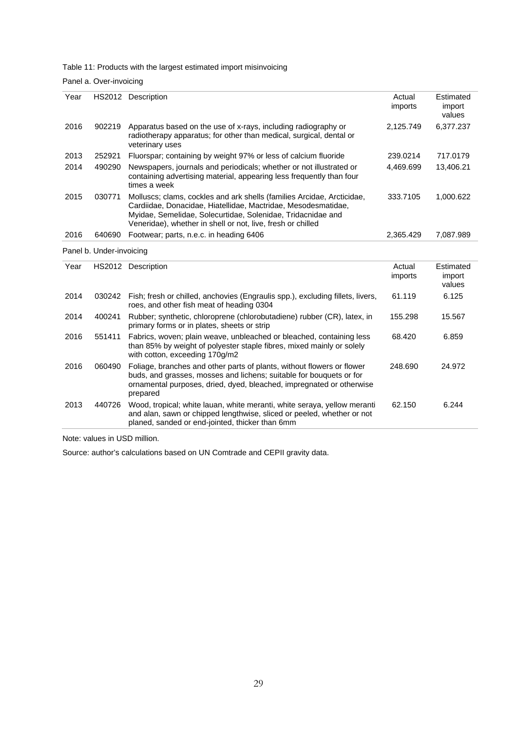Table 11: Products with the largest estimated import misinvoicing

Panel a. Over-invoicing

| Year | HS2012                   | Description                                                                                                                                                                                                                                                           | Actual<br>imports | Estimated<br>import<br>values |
|------|--------------------------|-----------------------------------------------------------------------------------------------------------------------------------------------------------------------------------------------------------------------------------------------------------------------|-------------------|-------------------------------|
| 2016 | 902219                   | Apparatus based on the use of x-rays, including radiography or<br>radiotherapy apparatus; for other than medical, surgical, dental or<br>veterinary uses                                                                                                              | 2,125.749         | 6,377.237                     |
| 2013 | 252921                   | Fluorspar; containing by weight 97% or less of calcium fluoride                                                                                                                                                                                                       | 239.0214          | 717.0179                      |
| 2014 | 490290                   | Newspapers, journals and periodicals; whether or not illustrated or<br>containing advertising material, appearing less frequently than four<br>times a week                                                                                                           | 4.469.699         | 13,406.21                     |
| 2015 | 030771                   | Molluscs; clams, cockles and ark shells (families Arcidae, Arcticidae,<br>Cardiidae, Donacidae, Hiatellidae, Mactridae, Mesodesmatidae,<br>Myidae, Semelidae, Solecurtidae, Solenidae, Tridacnidae and<br>Veneridae), whether in shell or not, live, fresh or chilled | 333.7105          | 1,000.622                     |
| 2016 | 640690                   | Footwear; parts, n.e.c. in heading 6406                                                                                                                                                                                                                               | 2.365.429         | 7,087.989                     |
|      | Panel b. Under-invoicing |                                                                                                                                                                                                                                                                       |                   |                               |
| Year |                          | HS2012 Description                                                                                                                                                                                                                                                    | Actual<br>imports | Estimated<br>import<br>values |
| 2014 | 030242                   | Fish; fresh or chilled, anchovies (Engraulis spp.), excluding fillets, livers,<br>roes, and other fish meat of heading 0304                                                                                                                                           | 61.119            | 6.125                         |
| 2014 | 400241                   | Rubber; synthetic, chloroprene (chlorobutadiene) rubber (CR), latex, in<br>primary forms or in plates, sheets or strip                                                                                                                                                | 155.298           | 15.567                        |
| 2016 | 551411                   | Fabrics, woven; plain weave, unbleached or bleached, containing less<br>than 85% by weight of polyester staple fibres mixed mainly or solely                                                                                                                          | 68.420            | 6.859                         |

| 2010 |        | 55 Paulus, WOVEN, Diam Weave, unbieadiled of bleadiled, containing less<br>than 85% by weight of polyester staple fibres, mixed mainly or solely<br>with cotton, exceeding 170g/m2                                                | 00.420  | ບ.ບວອ  |
|------|--------|-----------------------------------------------------------------------------------------------------------------------------------------------------------------------------------------------------------------------------------|---------|--------|
| 2016 | 060490 | Foliage, branches and other parts of plants, without flowers or flower<br>buds, and grasses, mosses and lichens; suitable for bouquets or for<br>ornamental purposes, dried, dyed, bleached, impregnated or otherwise<br>prepared | 248.690 | 24.972 |
| 2013 | 440726 | Wood, tropical; white lauan, white meranti, white seraya, yellow meranti<br>and alan, sawn or chipped lengthwise, sliced or peeled, whether or not<br>planed, sanded or end-jointed, thicker than 6mm                             | 62.150  | 6.244  |

Note: values in USD million.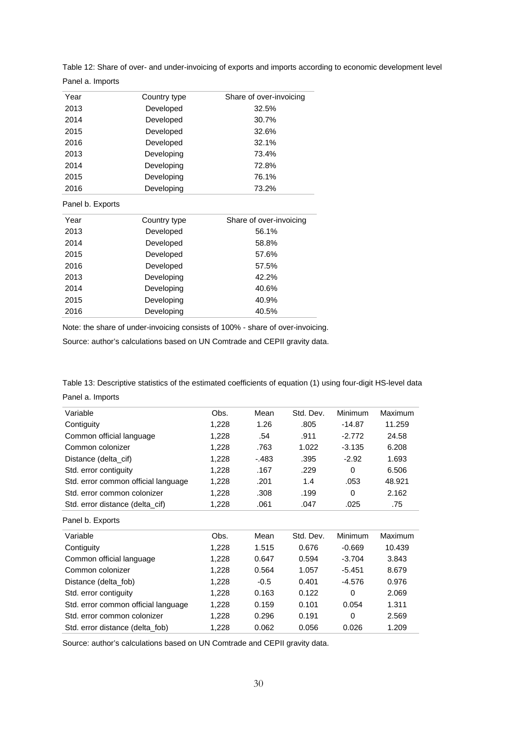| Year             | Country type | Share of over-invoicing |
|------------------|--------------|-------------------------|
| 2013             | Developed    | 32.5%                   |
| 2014             | Developed    | 30.7%                   |
| 2015             | Developed    | 32.6%                   |
| 2016             | Developed    | 32.1%                   |
| 2013             | Developing   | 73.4%                   |
| 2014             | Developing   | 72.8%                   |
| 2015             | Developing   | 76.1%                   |
| 2016             | Developing   | 73.2%                   |
| Panel b. Exports |              |                         |
|                  |              |                         |
| Year             | Country type | Share of over-invoicing |
| 2013             | Developed    | 56.1%                   |
| 2014             | Developed    | 58.8%                   |
| 2015             | Developed    | 57.6%                   |
| 2016             | Developed    | 57.5%                   |
| 2013             | Developing   | 42.2%                   |
| 2014             | Developing   | 40.6%                   |
| 2015             | Developing   | 40.9%                   |
| 2016             | Developing   | 40.5%                   |

Table 12: Share of over- and under-invoicing of exports and imports according to economic development level Panel a. Imports

Note: the share of under-invoicing consists of 100% - share of over-invoicing.

Source: author's calculations based on UN Comtrade and CEPII gravity data.

Table 13: Descriptive statistics of the estimated coefficients of equation (1) using four-digit HS-level data Panel a. Imports

| Variable                            | Obs.  | Mean    | Std. Dev. | <b>Minimum</b> | Maximum |
|-------------------------------------|-------|---------|-----------|----------------|---------|
| Contiguity                          | 1,228 | 1.26    | .805      | $-14.87$       | 11.259  |
| Common official language            | 1,228 | .54     | .911      | $-2.772$       | 24.58   |
| Common colonizer                    | 1,228 | .763    | 1.022     | $-3.135$       | 6.208   |
| Distance (delta_cif)                | 1,228 | $-.483$ | .395      | $-2.92$        | 1.693   |
| Std. error contiguity               | 1,228 | .167    | .229      | $\Omega$       | 6.506   |
| Std. error common official language | 1,228 | .201    | 1.4       | .053           | 48.921  |
| Std. error common colonizer         | 1,228 | .308    | .199      | $\Omega$       | 2.162   |
| Std. error distance (delta_cif)     | 1,228 | .061    | .047      | .025           | .75     |
| Panel b. Exports                    |       |         |           |                |         |
| Variable                            | Obs.  | Mean    | Std. Dev. | <b>Minimum</b> | Maximum |
| Contiguity                          | 1,228 | 1.515   | 0.676     | $-0.669$       | 10.439  |
| Common official language            | 1,228 | 0.647   | 0.594     | $-3.704$       | 3.843   |
| Common colonizer                    | 1,228 | 0.564   | 1.057     | $-5.451$       | 8.679   |
| Distance (delta_fob)                | 1,228 | $-0.5$  | 0.401     | $-4.576$       | 0.976   |
| Std. error contiguity               | 1,228 | 0.163   | 0.122     | 0              | 2.069   |
| Std. error common official language | 1,228 | 0.159   | 0.101     | 0.054          | 1.311   |
| Std. error common colonizer         | 1,228 | 0.296   | 0.191     | $\Omega$       | 2.569   |
| Std. error distance (delta fob)     | 1,228 | 0.062   | 0.056     | 0.026          | 1.209   |